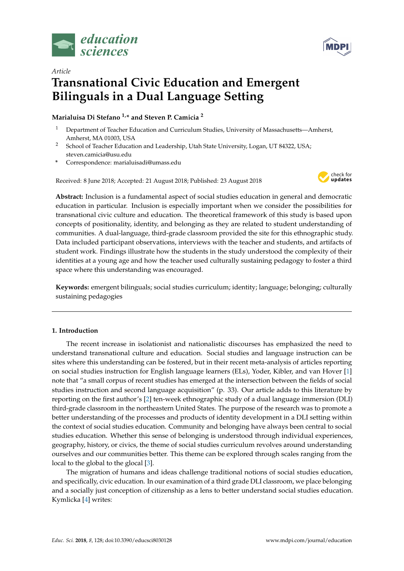



# *Article* **Transnational Civic Education and Emergent Bilinguals in a Dual Language Setting**

## **Marialuisa Di Stefano 1,\* and Steven P. Camicia <sup>2</sup>**

- <sup>1</sup> Department of Teacher Education and Curriculum Studies, University of Massachusetts—Amherst, Amherst, MA 01003, USA
- <sup>2</sup> School of Teacher Education and Leadership, Utah State University, Logan, UT 84322, USA; steven.camicia@usu.edu
- **\*** Correspondence: marialuisadi@umass.edu

Received: 8 June 2018; Accepted: 21 August 2018; Published: 23 August 2018



**Abstract:** Inclusion is a fundamental aspect of social studies education in general and democratic education in particular. Inclusion is especially important when we consider the possibilities for transnational civic culture and education. The theoretical framework of this study is based upon concepts of positionality, identity, and belonging as they are related to student understanding of communities. A dual-language, third-grade classroom provided the site for this ethnographic study. Data included participant observations, interviews with the teacher and students, and artifacts of student work. Findings illustrate how the students in the study understood the complexity of their identities at a young age and how the teacher used culturally sustaining pedagogy to foster a third space where this understanding was encouraged.

**Keywords:** emergent bilinguals; social studies curriculum; identity; language; belonging; culturally sustaining pedagogies

## **1. Introduction**

The recent increase in isolationist and nationalistic discourses has emphasized the need to understand transnational culture and education. Social studies and language instruction can be sites where this understanding can be fostered, but in their recent meta-analysis of articles reporting on social studies instruction for English language learners (ELs), Yoder, Kibler, and van Hover [\[1\]](#page-17-0) note that "a small corpus of recent studies has emerged at the intersection between the fields of social studies instruction and second language acquisition" (p. 33). Our article adds to this literature by reporting on the first author's [\[2\]](#page-17-1) ten-week ethnographic study of a dual language immersion (DLI) third-grade classroom in the northeastern United States. The purpose of the research was to promote a better understanding of the processes and products of identity development in a DLI setting within the context of social studies education. Community and belonging have always been central to social studies education. Whether this sense of belonging is understood through individual experiences, geography, history, or civics, the theme of social studies curriculum revolves around understanding ourselves and our communities better. This theme can be explored through scales ranging from the local to the global to the glocal [\[3\]](#page-17-2).

The migration of humans and ideas challenge traditional notions of social studies education, and specifically, civic education. In our examination of a third grade DLI classroom, we place belonging and a socially just conception of citizenship as a lens to better understand social studies education. Kymlicka [\[4\]](#page-17-3) writes: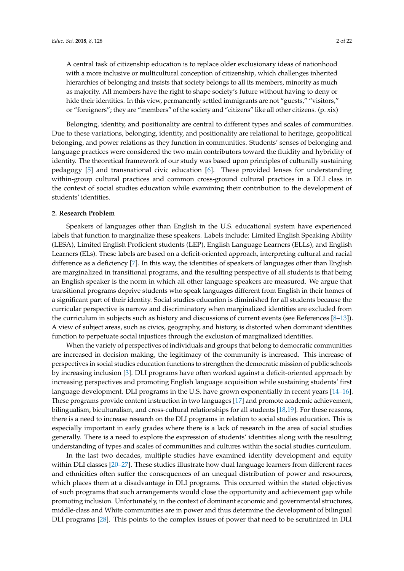A central task of citizenship education is to replace older exclusionary ideas of nationhood with a more inclusive or multicultural conception of citizenship, which challenges inherited hierarchies of belonging and insists that society belongs to all its members, minority as much as majority. All members have the right to shape society's future without having to deny or hide their identities. In this view, permanently settled immigrants are not "guests," "visitors," or "foreigners"; they are "members" of the society and "citizens" like all other citizens. (p. xix)

Belonging, identity, and positionality are central to different types and scales of communities. Due to these variations, belonging, identity, and positionality are relational to heritage, geopolitical belonging, and power relations as they function in communities. Students' senses of belonging and language practices were considered the two main contributors toward the fluidity and hybridity of identity. The theoretical framework of our study was based upon principles of culturally sustaining pedagogy [\[5\]](#page-17-4) and transnational civic education [\[6\]](#page-17-5). These provided lenses for understanding within-group cultural practices and common cross-ground cultural practices in a DLI class in the context of social studies education while examining their contribution to the development of students' identities.

#### **2. Research Problem**

Speakers of languages other than English in the U.S. educational system have experienced labels that function to marginalize these speakers. Labels include: Limited English Speaking Ability (LESA), Limited English Proficient students (LEP), English Language Learners (ELLs), and English Learners (ELs). These labels are based on a deficit-oriented approach, interpreting cultural and racial difference as a deficiency [\[7\]](#page-17-6). In this way, the identities of speakers of languages other than English are marginalized in transitional programs, and the resulting perspective of all students is that being an English speaker is the norm in which all other language speakers are measured. We argue that transitional programs deprive students who speak languages different from English in their homes of a significant part of their identity. Social studies education is diminished for all students because the curricular perspective is narrow and discriminatory when marginalized identities are excluded from the curriculum in subjects such as history and discussions of current events (see References [\[8](#page-17-7)[–13\]](#page-17-8)). A view of subject areas, such as civics, geography, and history, is distorted when dominant identities function to perpetuate social injustices through the exclusion of marginalized identities.

When the variety of perspectives of individuals and groups that belong to democratic communities are increased in decision making, the legitimacy of the community is increased. This increase of perspectives in social studies education functions to strengthen the democratic mission of public schools by increasing inclusion [\[3\]](#page-17-2). DLI programs have often worked against a deficit-oriented approach by increasing perspectives and promoting English language acquisition while sustaining students' first language development. DLI programs in the U.S. have grown exponentially in recent years [\[14–](#page-17-9)[16\]](#page-17-10). These programs provide content instruction in two languages [\[17\]](#page-18-0) and promote academic achievement, bilingualism, biculturalism, and cross-cultural relationships for all students [\[18](#page-18-1)[,19\]](#page-18-2). For these reasons, there is a need to increase research on the DLI programs in relation to social studies education. This is especially important in early grades where there is a lack of research in the area of social studies generally. There is a need to explore the expression of students' identities along with the resulting understanding of types and scales of communities and cultures within the social studies curriculum.

In the last two decades, multiple studies have examined identity development and equity within DLI classes [\[20](#page-18-3)[–27\]](#page-18-4). These studies illustrate how dual language learners from different races and ethnicities often suffer the consequences of an unequal distribution of power and resources, which places them at a disadvantage in DLI programs. This occurred within the stated objectives of such programs that such arrangements would close the opportunity and achievement gap while promoting inclusion. Unfortunately, in the context of dominant economic and governmental structures, middle-class and White communities are in power and thus determine the development of bilingual DLI programs [\[28\]](#page-18-5). This points to the complex issues of power that need to be scrutinized in DLI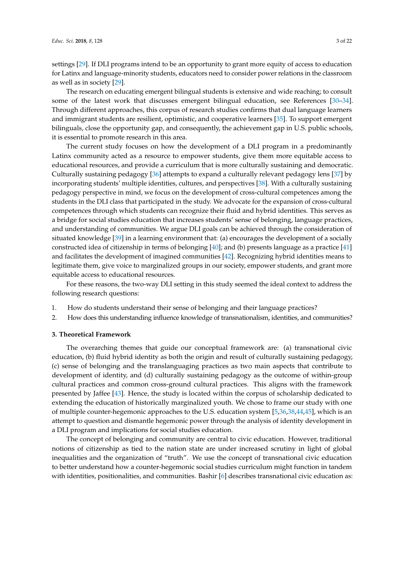settings [\[29\]](#page-18-6). If DLI programs intend to be an opportunity to grant more equity of access to education for Latinx and language-minority students, educators need to consider power relations in the classroom as well as in society [\[29\]](#page-18-6).

The research on educating emergent bilingual students is extensive and wide reaching; to consult some of the latest work that discusses emergent bilingual education, see References [\[30–](#page-18-7)[34\]](#page-18-8). Through different approaches, this corpus of research studies confirms that dual language learners and immigrant students are resilient, optimistic, and cooperative learners [\[35\]](#page-18-9). To support emergent bilinguals, close the opportunity gap, and consequently, the achievement gap in U.S. public schools, it is essential to promote research in this area.

The current study focuses on how the development of a DLI program in a predominantly Latinx community acted as a resource to empower students, give them more equitable access to educational resources, and provide a curriculum that is more culturally sustaining and democratic. Culturally sustaining pedagogy [\[36\]](#page-18-10) attempts to expand a culturally relevant pedagogy lens [\[37\]](#page-18-11) by incorporating students' multiple identities, cultures, and perspectives [\[38\]](#page-18-12). With a culturally sustaining pedagogy perspective in mind, we focus on the development of cross-cultural competences among the students in the DLI class that participated in the study. We advocate for the expansion of cross-cultural competences through which students can recognize their fluid and hybrid identities. This serves as a bridge for social studies education that increases students' sense of belonging, language practices, and understanding of communities. We argue DLI goals can be achieved through the consideration of situated knowledge [\[39\]](#page-18-13) in a learning environment that: (a) encourages the development of a socially constructed idea of citizenship in terms of belonging [\[40\]](#page-18-14); and (b) presents language as a practice [\[41\]](#page-19-0) and facilitates the development of imagined communities [\[42\]](#page-19-1). Recognizing hybrid identities means to legitimate them, give voice to marginalized groups in our society, empower students, and grant more equitable access to educational resources.

For these reasons, the two-way DLI setting in this study seemed the ideal context to address the following research questions:

- 1. How do students understand their sense of belonging and their language practices?
- 2. How does this understanding influence knowledge of transnationalism, identities, and communities?

#### **3. Theoretical Framework**

The overarching themes that guide our conceptual framework are: (a) transnational civic education, (b) fluid hybrid identity as both the origin and result of culturally sustaining pedagogy, (c) sense of belonging and the translanguaging practices as two main aspects that contribute to development of identity, and (d) culturally sustaining pedagogy as the outcome of within-group cultural practices and common cross-ground cultural practices. This aligns with the framework presented by Jaffee [\[43\]](#page-19-2). Hence, the study is located within the corpus of scholarship dedicated to extending the education of historically marginalized youth. We chose to frame our study with one of multiple counter-hegemonic approaches to the U.S. education system [\[5](#page-17-4)[,36](#page-18-10)[,38](#page-18-12)[,44](#page-19-3)[,45\]](#page-19-4), which is an attempt to question and dismantle hegemonic power through the analysis of identity development in a DLI program and implications for social studies education.

The concept of belonging and community are central to civic education. However, traditional notions of citizenship as tied to the nation state are under increased scrutiny in light of global inequalities and the organization of "truth". We use the concept of transnational civic education to better understand how a counter-hegemonic social studies curriculum might function in tandem with identities, positionalities, and communities. Bashir [\[6\]](#page-17-5) describes transnational civic education as: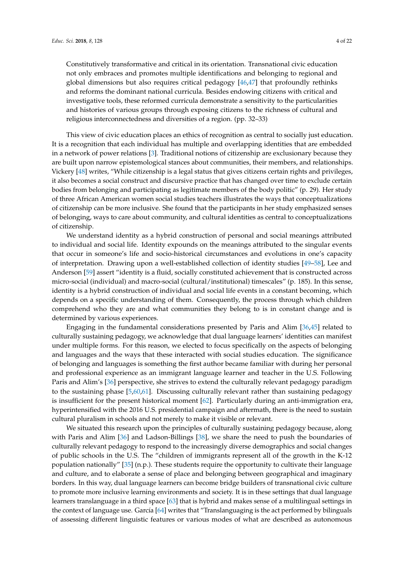Constitutively transformative and critical in its orientation. Transnational civic education not only embraces and promotes multiple identifications and belonging to regional and global dimensions but also requires critical pedagogy [\[46](#page-19-5)[,47\]](#page-19-6) that profoundly rethinks and reforms the dominant national curricula. Besides endowing citizens with critical and investigative tools, these reformed curricula demonstrate a sensitivity to the particularities and histories of various groups through exposing citizens to the richness of cultural and religious interconnectedness and diversities of a region. (pp. 32–33)

This view of civic education places an ethics of recognition as central to socially just education. It is a recognition that each individual has multiple and overlapping identities that are embedded in a network of power relations [\[3\]](#page-17-2). Traditional notions of citizenship are exclusionary because they are built upon narrow epistemological stances about communities, their members, and relationships. Vickery [\[48\]](#page-19-7) writes, "While citizenship is a legal status that gives citizens certain rights and privileges, it also becomes a social construct and discursive practice that has changed over time to exclude certain bodies from belonging and participating as legitimate members of the body politic" (p. 29). Her study of three African American women social studies teachers illustrates the ways that conceptualizations of citizenship can be more inclusive. She found that the participants in her study emphasized senses of belonging, ways to care about community, and cultural identities as central to conceptualizations of citizenship.

We understand identity as a hybrid construction of personal and social meanings attributed to individual and social life. Identity expounds on the meanings attributed to the singular events that occur in someone's life and socio-historical circumstances and evolutions in one's capacity of interpretation. Drawing upon a well-established collection of identity studies [\[49](#page-19-8)[–58\]](#page-19-9), Lee and Anderson [\[59\]](#page-19-10) assert "identity is a fluid, socially constituted achievement that is constructed across micro-social (individual) and macro-social (cultural/institutional) timescales" (p. 185). In this sense, identity is a hybrid construction of individual and social life events in a constant becoming, which depends on a specific understanding of them. Consequently, the process through which children comprehend who they are and what communities they belong to is in constant change and is determined by various experiences.

Engaging in the fundamental considerations presented by Paris and Alim [\[36](#page-18-10)[,45\]](#page-19-4) related to culturally sustaining pedagogy, we acknowledge that dual language learners' identities can manifest under multiple forms. For this reason, we elected to focus specifically on the aspects of belonging and languages and the ways that these interacted with social studies education. The significance of belonging and languages is something the first author became familiar with during her personal and professional experience as an immigrant language learner and teacher in the U.S. Following Paris and Alim's [\[36\]](#page-18-10) perspective, she strives to extend the culturally relevant pedagogy paradigm to the sustaining phase [\[5,](#page-17-4)[60,](#page-19-11)[61\]](#page-19-12). Discussing culturally relevant rather than sustaining pedagogy is insufficient for the present historical moment [\[62\]](#page-19-13). Particularly during an anti-immigration era, hyperintensified with the 2016 U.S. presidential campaign and aftermath, there is the need to sustain cultural pluralism in schools and not merely to make it visible or relevant.

We situated this research upon the principles of culturally sustaining pedagogy because, along with Paris and Alim [\[36\]](#page-18-10) and Ladson-Billings [\[38\]](#page-18-12), we share the need to push the boundaries of culturally relevant pedagogy to respond to the increasingly diverse demographics and social changes of public schools in the U.S. The "children of immigrants represent all of the growth in the K-12 population nationally" [\[35\]](#page-18-9) (n.p.). These students require the opportunity to cultivate their language and culture, and to elaborate a sense of place and belonging between geographical and imaginary borders. In this way, dual language learners can become bridge builders of transnational civic culture to promote more inclusive learning environments and society. It is in these settings that dual language learners translanguage in a third space [\[63\]](#page-19-14) that is hybrid and makes sense of a multilingual settings in the context of language use. García [\[64\]](#page-19-15) writes that "Translanguaging is the act performed by bilinguals of assessing different linguistic features or various modes of what are described as autonomous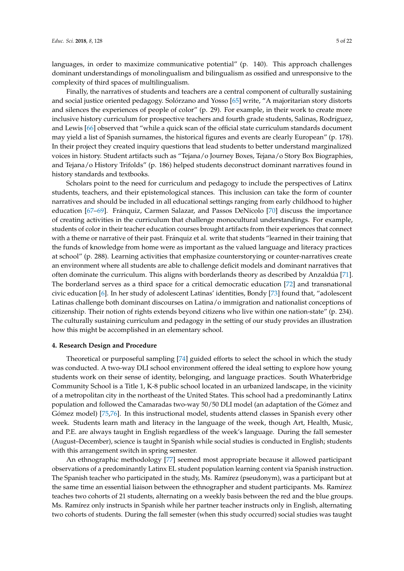languages, in order to maximize communicative potential" (p. 140). This approach challenges dominant understandings of monolingualism and bilingualism as ossified and unresponsive to the complexity of third spaces of multilingualism.

Finally, the narratives of students and teachers are a central component of culturally sustaining and social justice oriented pedagogy. Solórzano and Yosso [\[65\]](#page-19-16) write, "A majoritarian story distorts and silences the experiences of people of color" (p. 29). For example, in their work to create more inclusive history curriculum for prospective teachers and fourth grade students, Salinas, Rodríguez, and Lewis [\[66\]](#page-20-0) observed that "while a quick scan of the official state curriculum standards document may yield a list of Spanish surnames, the historical figures and events are clearly European" (p. 178). In their project they created inquiry questions that lead students to better understand marginalized voices in history. Student artifacts such as "Tejana/o Journey Boxes, Tejana/o Story Box Biographies, and Tejana/o History Trifolds" (p. 186) helped students deconstruct dominant narratives found in history standards and textbooks.

Scholars point to the need for curriculum and pedagogy to include the perspectives of Latinx students, teachers, and their epistemological stances. This inclusion can take the form of counter narratives and should be included in all educational settings ranging from early childhood to higher education [\[67](#page-20-1)[–69\]](#page-20-2). Fránquiz, Carmen Salazar, and Passos DeNicolo [\[70\]](#page-20-3) discuss the importance of creating activities in the curriculum that challenge monocultural understandings. For example, students of color in their teacher education courses brought artifacts from their experiences that connect with a theme or narrative of their past. Fránquiz et al. write that students "learned in their training that the funds of knowledge from home were as important as the valued language and literacy practices at school" (p. 288). Learning activities that emphasize counterstorying or counter-narratives create an environment where all students are able to challenge deficit models and dominant narratives that often dominate the curriculum. This aligns with borderlands theory as described by Anzaldúa [\[71\]](#page-20-4). The borderland serves as a third space for a critical democratic education [\[72\]](#page-20-5) and transnational civic education [\[6\]](#page-17-5). In her study of adolescent Latinas' identities, Bondy [\[73\]](#page-20-6) found that, "adolescent Latinas challenge both dominant discourses on Latina/o immigration and nationalist conceptions of citizenship. Their notion of rights extends beyond citizens who live within one nation-state" (p. 234). The culturally sustaining curriculum and pedagogy in the setting of our study provides an illustration how this might be accomplished in an elementary school.

#### **4. Research Design and Procedure**

Theoretical or purposeful sampling [\[74\]](#page-20-7) guided efforts to select the school in which the study was conducted. A two-way DLI school environment offered the ideal setting to explore how young students work on their sense of identity, belonging, and language practices. South Whaterbridge Community School is a Title 1, K-8 public school located in an urbanized landscape, in the vicinity of a metropolitan city in the northeast of the United States. This school had a predominantly Latinx population and followed the Camaradas two-way 50/50 DLI model (an adaptation of the Gómez and Gómez model) [\[75,](#page-20-8)[76\]](#page-20-9). In this instructional model, students attend classes in Spanish every other week. Students learn math and literacy in the language of the week, though Art, Health, Music, and P.E. are always taught in English regardless of the week's language. During the fall semester (August–December), science is taught in Spanish while social studies is conducted in English; students with this arrangement switch in spring semester.

An ethnographic methodology [\[77\]](#page-20-10) seemed most appropriate because it allowed participant observations of a predominantly Latinx EL student population learning content via Spanish instruction. The Spanish teacher who participated in the study, Ms. Ramírez (pseudonym), was a participant but at the same time an essential liaison between the ethnographer and student participants. Ms. Ramírez teaches two cohorts of 21 students, alternating on a weekly basis between the red and the blue groups. Ms. Ramírez only instructs in Spanish while her partner teacher instructs only in English, alternating two cohorts of students. During the fall semester (when this study occurred) social studies was taught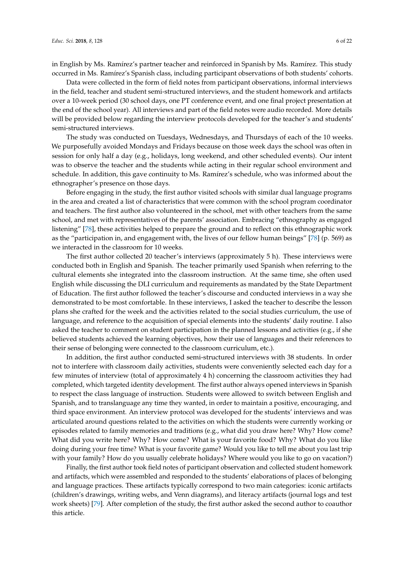in English by Ms. Ramírez's partner teacher and reinforced in Spanish by Ms. Ramírez. This study occurred in Ms. Ramírez's Spanish class, including participant observations of both students' cohorts.

Data were collected in the form of field notes from participant observations, informal interviews in the field, teacher and student semi-structured interviews, and the student homework and artifacts over a 10-week period (30 school days, one PT conference event, and one final project presentation at the end of the school year). All interviews and part of the field notes were audio recorded. More details will be provided below regarding the interview protocols developed for the teacher's and students' semi-structured interviews.

The study was conducted on Tuesdays, Wednesdays, and Thursdays of each of the 10 weeks. We purposefully avoided Mondays and Fridays because on those week days the school was often in session for only half a day (e.g., holidays, long weekend, and other scheduled events). Our intent was to observe the teacher and the students while acting in their regular school environment and schedule. In addition, this gave continuity to Ms. Ramírez's schedule, who was informed about the ethnographer's presence on those days.

Before engaging in the study, the first author visited schools with similar dual language programs in the area and created a list of characteristics that were common with the school program coordinator and teachers. The first author also volunteered in the school, met with other teachers from the same school, and met with representatives of the parents' association. Embracing "ethnography as engaged listening" [\[78\]](#page-20-11), these activities helped to prepare the ground and to reflect on this ethnographic work as the "participation in, and engagement with, the lives of our fellow human beings" [\[78\]](#page-20-11) (p. 569) as we interacted in the classroom for 10 weeks.

The first author collected 20 teacher's interviews (approximately 5 h). These interviews were conducted both in English and Spanish. The teacher primarily used Spanish when referring to the cultural elements she integrated into the classroom instruction. At the same time, she often used English while discussing the DLI curriculum and requirements as mandated by the State Department of Education. The first author followed the teacher's discourse and conducted interviews in a way she demonstrated to be most comfortable. In these interviews, I asked the teacher to describe the lesson plans she crafted for the week and the activities related to the social studies curriculum, the use of language, and reference to the acquisition of special elements into the students' daily routine. I also asked the teacher to comment on student participation in the planned lessons and activities (e.g., if she believed students achieved the learning objectives, how their use of languages and their references to their sense of belonging were connected to the classroom curriculum, etc.).

In addition, the first author conducted semi-structured interviews with 38 students. In order not to interfere with classroom daily activities, students were conveniently selected each day for a few minutes of interview (total of approximately 4 h) concerning the classroom activities they had completed, which targeted identity development. The first author always opened interviews in Spanish to respect the class language of instruction. Students were allowed to switch between English and Spanish, and to translanguage any time they wanted, in order to maintain a positive, encouraging, and third space environment. An interview protocol was developed for the students' interviews and was articulated around questions related to the activities on which the students were currently working or episodes related to family memories and traditions (e.g., what did you draw here? Why? How come? What did you write here? Why? How come? What is your favorite food? Why? What do you like doing during your free time? What is your favorite game? Would you like to tell me about you last trip with your family? How do you usually celebrate holidays? Where would you like to go on vacation?)

Finally, the first author took field notes of participant observation and collected student homework and artifacts, which were assembled and responded to the students' elaborations of places of belonging and language practices. These artifacts typically correspond to two main categories: iconic artifacts (children's drawings, writing webs, and Venn diagrams), and literacy artifacts (journal logs and test work sheets) [\[79\]](#page-20-12). After completion of the study, the first author asked the second author to coauthor this article.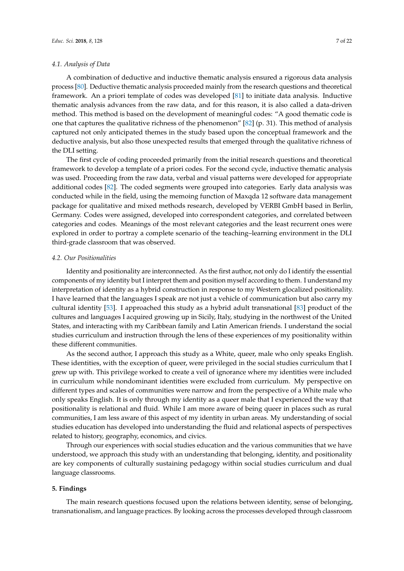#### *4.1. Analysis of Data*

A combination of deductive and inductive thematic analysis ensured a rigorous data analysis process [\[80\]](#page-20-13). Deductive thematic analysis proceeded mainly from the research questions and theoretical framework. An a priori template of codes was developed [\[81\]](#page-20-14) to initiate data analysis. Inductive thematic analysis advances from the raw data, and for this reason, it is also called a data-driven method. This method is based on the development of meaningful codes: "A good thematic code is one that captures the qualitative richness of the phenomenon" [\[82\]](#page-20-15) (p. 31). This method of analysis captured not only anticipated themes in the study based upon the conceptual framework and the deductive analysis, but also those unexpected results that emerged through the qualitative richness of the DLI setting.

The first cycle of coding proceeded primarily from the initial research questions and theoretical framework to develop a template of a priori codes. For the second cycle, inductive thematic analysis was used. Proceeding from the raw data, verbal and visual patterns were developed for appropriate additional codes [\[82\]](#page-20-15). The coded segments were grouped into categories. Early data analysis was conducted while in the field, using the memoing function of Maxqda 12 software data management package for qualitative and mixed methods research, developed by VERBI GmbH based in Berlin, Germany. Codes were assigned, developed into correspondent categories, and correlated between categories and codes. Meanings of the most relevant categories and the least recurrent ones were explored in order to portray a complete scenario of the teaching–learning environment in the DLI third-grade classroom that was observed.

#### *4.2. Our Positionalities*

Identity and positionality are interconnected. As the first author, not only do I identify the essential components of my identity but I interpret them and position myself according to them. I understand my interpretation of identity as a hybrid construction in response to my Western glocalized positionality. I have learned that the languages I speak are not just a vehicle of communication but also carry my cultural identity [\[53\]](#page-19-17). I approached this study as a hybrid adult transnational [\[83\]](#page-20-16) product of the cultures and languages I acquired growing up in Sicily, Italy, studying in the northwest of the United States, and interacting with my Caribbean family and Latin American friends. I understand the social studies curriculum and instruction through the lens of these experiences of my positionality within these different communities.

As the second author, I approach this study as a White, queer, male who only speaks English. These identities, with the exception of queer, were privileged in the social studies curriculum that I grew up with. This privilege worked to create a veil of ignorance where my identities were included in curriculum while nondominant identities were excluded from curriculum. My perspective on different types and scales of communities were narrow and from the perspective of a White male who only speaks English. It is only through my identity as a queer male that I experienced the way that positionality is relational and fluid. While I am more aware of being queer in places such as rural communities, I am less aware of this aspect of my identity in urban areas. My understanding of social studies education has developed into understanding the fluid and relational aspects of perspectives related to history, geography, economics, and civics.

Through our experiences with social studies education and the various communities that we have understood, we approach this study with an understanding that belonging, identity, and positionality are key components of culturally sustaining pedagogy within social studies curriculum and dual language classrooms.

#### **5. Findings**

The main research questions focused upon the relations between identity, sense of belonging, transnationalism, and language practices. By looking across the processes developed through classroom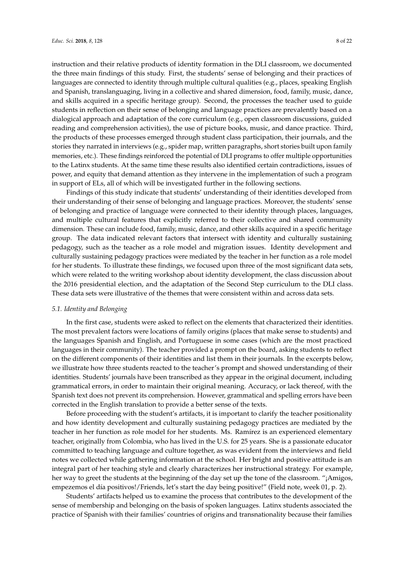instruction and their relative products of identity formation in the DLI classroom, we documented the three main findings of this study. First, the students' sense of belonging and their practices of languages are connected to identity through multiple cultural qualities (e.g., places, speaking English and Spanish, translanguaging, living in a collective and shared dimension, food, family, music, dance, and skills acquired in a specific heritage group). Second, the processes the teacher used to guide students in reflection on their sense of belonging and language practices are prevalently based on a dialogical approach and adaptation of the core curriculum (e.g., open classroom discussions, guided reading and comprehension activities), the use of picture books, music, and dance practice. Third, the products of these processes emerged through student class participation, their journals, and the stories they narrated in interviews (e.g., spider map, written paragraphs, short stories built upon family memories, etc.). These findings reinforced the potential of DLI programs to offer multiple opportunities to the Latinx students. At the same time these results also identified certain contradictions, issues of power, and equity that demand attention as they intervene in the implementation of such a program in support of ELs, all of which will be investigated further in the following sections.

Findings of this study indicate that students' understanding of their identities developed from their understanding of their sense of belonging and language practices. Moreover, the students' sense of belonging and practice of language were connected to their identity through places, languages, and multiple cultural features that explicitly referred to their collective and shared community dimension. These can include food, family, music, dance, and other skills acquired in a specific heritage group. The data indicated relevant factors that intersect with identity and culturally sustaining pedagogy, such as the teacher as a role model and migration issues. Identity development and culturally sustaining pedagogy practices were mediated by the teacher in her function as a role model for her students. To illustrate these findings, we focused upon three of the most significant data sets, which were related to the writing workshop about identity development, the class discussion about the 2016 presidential election, and the adaptation of the Second Step curriculum to the DLI class. These data sets were illustrative of the themes that were consistent within and across data sets.

#### *5.1. Identity and Belonging*

In the first case, students were asked to reflect on the elements that characterized their identities. The most prevalent factors were locations of family origins (places that make sense to students) and the languages Spanish and English, and Portuguese in some cases (which are the most practiced languages in their community). The teacher provided a prompt on the board, asking students to reflect on the different components of their identities and list them in their journals. In the excerpts below, we illustrate how three students reacted to the teacher's prompt and showed understanding of their identities. Students' journals have been transcribed as they appear in the original document, including grammatical errors, in order to maintain their original meaning. Accuracy, or lack thereof, with the Spanish text does not prevent its comprehension. However, grammatical and spelling errors have been corrected in the English translation to provide a better sense of the texts.

Before proceeding with the student's artifacts, it is important to clarify the teacher positionality and how identity development and culturally sustaining pedagogy practices are mediated by the teacher in her function as role model for her students. Ms. Ramírez is an experienced elementary teacher, originally from Colombia, who has lived in the U.S. for 25 years. She is a passionate educator committed to teaching language and culture together, as was evident from the interviews and field notes we collected while gathering information at the school. Her bright and positive attitude is an integral part of her teaching style and clearly characterizes her instructional strategy. For example, her way to greet the students at the beginning of the day set up the tone of the classroom. "¡Amigos, empezemos el día positivos!/Friends, let's start the day being positive!" (Field note, week 01, p. 2).

Students' artifacts helped us to examine the process that contributes to the development of the sense of membership and belonging on the basis of spoken languages. Latinx students associated the practice of Spanish with their families' countries of origins and transnationality because their families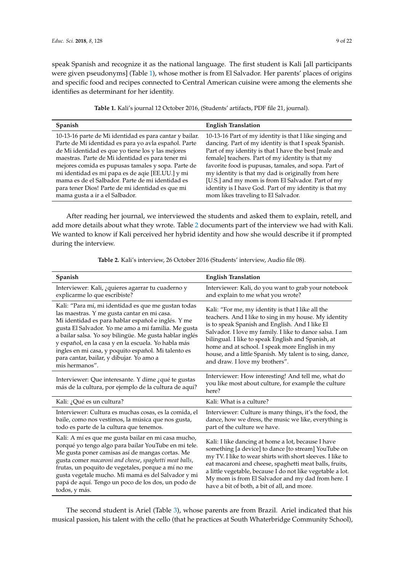speak Spanish and recognize it as the national language. The first student is Kali [all participants were given pseudonyms] (Table [1\)](#page-8-0), whose mother is from El Salvador. Her parents' places of origins and specific food and recipes connected to Central American cuisine were among the elements she identifies as determinant for her identity.

| Table 1. Kali's journal 12 October 2016, (Students' artifacts, PDF file 21, journal). |  |  |
|---------------------------------------------------------------------------------------|--|--|
|---------------------------------------------------------------------------------------|--|--|

<span id="page-8-0"></span>

| Spanish                                                 | <b>English Translation</b>                              |
|---------------------------------------------------------|---------------------------------------------------------|
| 10-13-16 parte de Mi identidad es para cantar y bailar. | 10-13-16 Part of my identity is that I like singing and |
| Parte de Mi identidad es para yo avla español. Parte    | dancing. Part of my identity is that I speak Spanish.   |
| de Mi identidad es que yo tiene los y las mejores       | Part of my identity is that I have the best [male and   |
| maestras. Parte de Mi identidad es para tener mi        | female] teachers. Part of my identity is that my        |
| mejores comida es pupusas tamales y sopa. Parte de      | favorite food is pupusas, tamales, and sopa. Part of    |
| mi identidad es mi papa es de aqie [EE.UU.] y mi        | my identity is that my dad is originally from here      |
| mama es de el Salbador. Parte de mi identidad es        | [U.S.] and my mom is from El Salvador. Part of my       |
| para tener Dios! Parte de mi identidad es que mi        | identity is I have God. Part of my identity is that my  |
| mama gusta a ir a el Salbador.                          | mom likes traveling to El Salvador.                     |

After reading her journal, we interviewed the students and asked them to explain, retell, and add more details about what they wrote. Table [2](#page-8-1) documents part of the interview we had with Kali. We wanted to know if Kali perceived her hybrid identity and how she would describe it if prompted during the interview.

**Table 2.** Kali's interview, 26 October 2016 (Students' interview, Audio file 08).

<span id="page-8-1"></span>

| Spanish                                                                                                                                                                                                                                                                                                                                                                                                                                                | <b>English Translation</b>                                                                                                                                                                                                                                                                                                                                                                                                     |
|--------------------------------------------------------------------------------------------------------------------------------------------------------------------------------------------------------------------------------------------------------------------------------------------------------------------------------------------------------------------------------------------------------------------------------------------------------|--------------------------------------------------------------------------------------------------------------------------------------------------------------------------------------------------------------------------------------------------------------------------------------------------------------------------------------------------------------------------------------------------------------------------------|
| Interviewer: Kali, ¿quieres agarrar tu cuaderno y<br>explicarme lo que escribiste?                                                                                                                                                                                                                                                                                                                                                                     | Interviewer: Kali, do you want to grab your notebook<br>and explain to me what you wrote?                                                                                                                                                                                                                                                                                                                                      |
| Kali: "Para mí, mi identidad es que me gustan todas<br>las maestras. Y me gusta cantar en mi casa.<br>Mi identidad es para hablar español e inglés. Y me<br>gusta El Salvador. Yo me amo a mi familia. Me gusta<br>a bailar salsa. Yo soy bilingüe. Me gusta hablar inglés<br>y español, en la casa y en la escuela. Yo habla más<br>ingles en mi casa, y poquito español. Mi talento es<br>para cantar, bailar, y dibujar. Yo amo a<br>mis hermanos". | Kali: "For me, my identity is that I like all the<br>teachers. And I like to sing in my house. My identity<br>is to speak Spanish and English. And I like El<br>Salvador. I love my family. I like to dance salsa. I am<br>bilingual. I like to speak English and Spanish, at<br>home and at school. I speak more English in my<br>house, and a little Spanish. My talent is to sing, dance,<br>and draw. I love my brothers". |
| Interviewer: Que interesante. Y dime ¿qué te gustas<br>más de la cultura, por ejemplo de la cultura de aquí?                                                                                                                                                                                                                                                                                                                                           | Interviewer: How interesting! And tell me, what do<br>you like most about culture, for example the culture<br>here?                                                                                                                                                                                                                                                                                                            |
| Kali: ¿Qué es un cultura?                                                                                                                                                                                                                                                                                                                                                                                                                              | Kali: What is a culture?                                                                                                                                                                                                                                                                                                                                                                                                       |
| Interviewer: Cultura es muchas cosas, es la comida, el<br>baile, como nos vestimos, la música que nos gusta,<br>todo es parte de la cultura que tenemos.                                                                                                                                                                                                                                                                                               | Interviewer: Culture is many things, it's the food, the<br>dance, how we dress, the music we like, everything is<br>part of the culture we have.                                                                                                                                                                                                                                                                               |
| Kali: A mí es que me gusta bailar en mi casa mucho,<br>porqué yo tengo algo para bailar YouTube en mi tele.<br>Me gusta poner camisas así de mangas cortas. Me<br>gusta comer macaroni and cheese, spaghetti meat balls,<br>frutas, un poquito de vegetales, porque a mí no me<br>gusta vegetale mucho. Mi mamá es del Salvador y mi<br>papá de aquí. Tengo un poco de los dos, un podo de<br>todos, y más.                                            | Kali: I like dancing at home a lot, because I have<br>something [a device] to dance [to stream] YouTube on<br>my TV. I like to wear shirts with short sleeves. I like to<br>eat macaroni and cheese, spaghetti meat balls, fruits,<br>a little vegetable, because I do not like vegetable a lot.<br>My mom is from El Salvador and my dad from here. I<br>have a bit of both, a bit of all, and more.                          |

The second student is Ariel (Table [3\)](#page-9-0), whose parents are from Brazil. Ariel indicated that his musical passion, his talent with the cello (that he practices at South Whaterbridge Community School),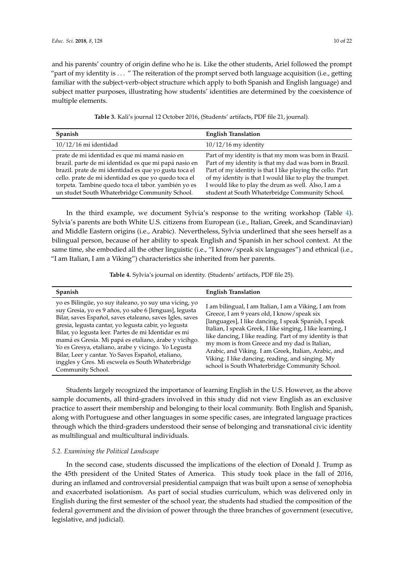and his parents' country of origin define who he is. Like the other students, Ariel followed the prompt "part of my identity is . . . " The reiteration of the prompt served both language acquisition (i.e., getting familiar with the subject-verb-object structure which apply to both Spanish and English language) and subject matter purposes, illustrating how students' identities are determined by the coexistence of multiple elements.

|  |  |  |  |  | Table 3. Kali's journal 12 October 2016, (Students' artifacts, PDF file 21, journal). |
|--|--|--|--|--|---------------------------------------------------------------------------------------|
|--|--|--|--|--|---------------------------------------------------------------------------------------|

<span id="page-9-0"></span>

| <b>Spanish</b>                                                                                                                                                                                                                                                                                                                   | <b>English Translation</b>                                                                                                                                                                                                                                                                                                                           |
|----------------------------------------------------------------------------------------------------------------------------------------------------------------------------------------------------------------------------------------------------------------------------------------------------------------------------------|------------------------------------------------------------------------------------------------------------------------------------------------------------------------------------------------------------------------------------------------------------------------------------------------------------------------------------------------------|
| $10/12/16$ mi identidad                                                                                                                                                                                                                                                                                                          | $10/12/16$ my identity                                                                                                                                                                                                                                                                                                                               |
| prate de mi identidad es que mi mamá nasio en<br>brazil. parte de mi identidad es que mi papá nasio en<br>brazil. prate de mi identidad es que yo gusta toca el<br>cello. prate de mi identidad es que yo quedo toca el<br>torpeta. Tambine quedo toca el tabor. yambién yo es<br>un studet South Whaterbridge Community School. | Part of my identity is that my mom was born in Brazil.<br>Part of my identity is that my dad was born in Brazil.<br>Part of my identity is that I like playing the cello. Part<br>of my identity is that I would like to play the trumpet.<br>I would like to play the drum as well. Also, I am a<br>student at South Whaterbridge Community School. |

In the third example, we document Sylvia's response to the writing workshop (Table [4\)](#page-9-1). Sylvia's parents are both White U.S. citizens from European (i.e., Italian, Greek, and Scandinavian) and Middle Eastern origins (i.e., Arabic). Nevertheless, Sylvia underlined that she sees herself as a bilingual person, because of her ability to speak English and Spanish in her school context. At the same time, she embodied all the other linguistic (i.e., "I know/speak six languages") and ethnical (i.e., "I am Italian, I am a Viking") characteristics she inherited from her parents.

**Table 4.** Sylvia's journal on identity. (Students' artifacts, PDF file 25).

<span id="page-9-1"></span>

| <b>Spanish</b>                                                                                                                                                                                                                                                                                                                                                                                                                                                                                                                             | <b>English Translation</b>                                                                                                                                                                                                                                                                                                                                                                                                                                                                             |
|--------------------------------------------------------------------------------------------------------------------------------------------------------------------------------------------------------------------------------------------------------------------------------------------------------------------------------------------------------------------------------------------------------------------------------------------------------------------------------------------------------------------------------------------|--------------------------------------------------------------------------------------------------------------------------------------------------------------------------------------------------------------------------------------------------------------------------------------------------------------------------------------------------------------------------------------------------------------------------------------------------------------------------------------------------------|
| yo es Bilingüe, yo suy italeano, yo suy una vicing, yo<br>suy Gresia, yo es 9 años, yo sabe 6 [lenguas], legusta<br>Bilar, saves Español, saves etaleano, saves Igles, saves<br>gresia, legusta cantar, yo legusta cabir, yo legusta<br>Bilar, yo legusta leer. Partes de mi Identidar es mi<br>mamá es Gresia. Mi papá es etaliano, árabe y vicihgo.<br>Yo es Gresya, etaliano, arabe y vicingo. Yo Legusta<br>Bilar, Leer y cantar. Yo Saves Español, etaliano,<br>inggles y Gres. Mi escwela es South Whaterbridge<br>Community School. | I am bilingual, I am Italian, I am a Viking, I am from<br>Greece, I am 9 years old, I know/speak six<br>[languages], I like dancing, I speak Spanish, I speak<br>Italian, I speak Greek, I like singing, I like learning, I<br>like dancing, I like reading. Part of my identity is that<br>my mom is from Greece and my dad is Italian,<br>Arabic, and Viking. I am Greek, Italian, Arabic, and<br>Viking. I like dancing, reading, and singing. My<br>school is South Whaterbridge Community School. |

Students largely recognized the importance of learning English in the U.S. However, as the above sample documents, all third-graders involved in this study did not view English as an exclusive practice to assert their membership and belonging to their local community. Both English and Spanish, along with Portuguese and other languages in some specific cases, are integrated language practices through which the third-graders understood their sense of belonging and transnational civic identity as multilingual and multicultural individuals.

## *5.2. Examining the Political Landscape*

In the second case, students discussed the implications of the election of Donald J. Trump as the 45th president of the United States of America. This study took place in the fall of 2016, during an inflamed and controversial presidential campaign that was built upon a sense of xenophobia and exacerbated isolationism. As part of social studies curriculum, which was delivered only in English during the first semester of the school year, the students had studied the composition of the federal government and the division of power through the three branches of government (executive, legislative, and judicial).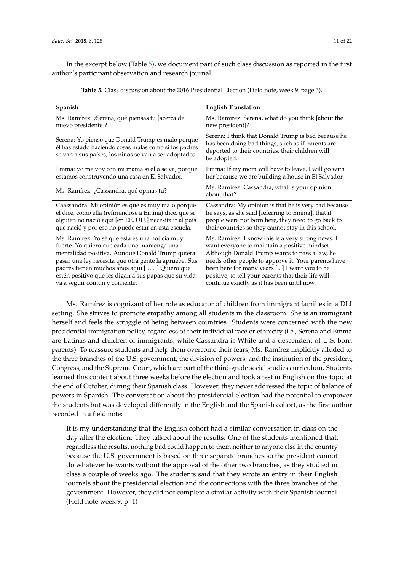<span id="page-10-0"></span>In the excerpt below (Table [5\)](#page-10-0), we document part of such class discussion as reported in the first author's participant observation and research journal.

| Spanish                                                                                                                                                              | <b>English Translation</b>                                                                                                                                                  |
|----------------------------------------------------------------------------------------------------------------------------------------------------------------------|-----------------------------------------------------------------------------------------------------------------------------------------------------------------------------|
| Ms. Ramírez: ¿Serena, qué piensas tú [acerca del                                                                                                                     | Ms. Ramírez: Serena, what do you think [about the                                                                                                                           |
| nuevo presidente]?                                                                                                                                                   | new president]?                                                                                                                                                             |
| Serena: Yo pienso que Donald Trump es malo porque<br>él has estado haciendo cosas malas como si los padres<br>se van a sus países, los niños se van a ser adoptados. | Serena: I think that Donald Trump is bad because he<br>has been doing bad things, such as if parents are<br>deported to their countries, their children will<br>be adopted. |
| Emma: yo me voy con mi mamá si ella se va, porque                                                                                                                    | Emma: If my mom will have to leave, I will go with                                                                                                                          |
| estamos construyendo una casa en El Salvador.                                                                                                                        | her because we are building a house in El Salvador.                                                                                                                         |
| Ms. Ramírez: ¿Cassandra, qué opinas tú?                                                                                                                              | Ms. Ramírez: Cassandra, what is your opinion<br>about that?                                                                                                                 |
| Caassandra: Mi opinión es que es muy malo porque                                                                                                                     | Cassandra: My opinion is that he is very bad because                                                                                                                        |
| él dice, como ella (refiriéndose a Emma) dice, que si                                                                                                                | he says, as she said [referring to Emma], that if                                                                                                                           |
| alguien no nació aquí [en EE. UU.] necesita ir al país                                                                                                               | people were not born here, they need to go back to                                                                                                                          |
| que nació y por eso no puede estar en esta escuela.                                                                                                                  | their countries so they cannot stay in this school.                                                                                                                         |
| Ms. Ramírez: Yo sé que esta es una noticia muy                                                                                                                       | Ms. Ramírez: I know this is a very strong news. I                                                                                                                           |
| fuerte. Yo quiero que cada uno mantenga una                                                                                                                          | want everyone to maintain a positive mindset.                                                                                                                               |
| mentalidad positiva. Aunque Donald Trump quiera                                                                                                                      | Although Donald Trump wants to pass a law, he                                                                                                                               |
| pasar una ley necesita que otra gente la apruebe. Sus                                                                                                                | needs other people to approve it. Your parents have                                                                                                                         |
| padres tienen muchos años aquí [] Quiero que                                                                                                                         | been here for many years [] I want you to be                                                                                                                                |
| estén positivo que les digan a sus papas que su vida                                                                                                                 | positive, to tell your parents that their life will                                                                                                                         |
| va a seguir común y corriente.                                                                                                                                       | continue exactly as it has been until now.                                                                                                                                  |

**Table 5.** Class discussion about the 2016 Presidential Election (Field note, week 9, page 3).

Ms. Ramírez is cognizant of her role as educator of children from immigrant families in a DLI setting. She strives to promote empathy among all students in the classroom. She is an immigrant herself and feels the struggle of being between countries. Students were concerned with the new presidential immigration policy, regardless of their individual race or ethnicity (i.e., Serena and Emma are Latinas and children of immigrants, while Cassandra is White and a descendent of U.S. born parents). To reassure students and help them overcome their fears, Ms. Ramírez implicitly alluded to the three branches of the U.S. government, the division of powers, and the institution of the president, Congress, and the Supreme Court, which are part of the third-grade social studies curriculum. Students learned this content about three weeks before the election and took a test in English on this topic at the end of October, during their Spanish class. However, they never addressed the topic of balance of powers in Spanish. The conversation about the presidential election had the potential to empower the students but was developed differently in the English and the Spanish cohort, as the first author recorded in a field note:

It is my understanding that the English cohort had a similar conversation in class on the day after the election. They talked about the results. One of the students mentioned that, regardless the results, nothing bad could happen to them neither to anyone else in the country because the U.S. government is based on three separate branches so the president cannot do whatever he wants without the approval of the other two branches, as they studied in class a couple of weeks ago. The students said that they wrote an entry in their English journals about the presidential election and the connections with the three branches of the government. However, they did not complete a similar activity with their Spanish journal. (Field note week 9, p. 1)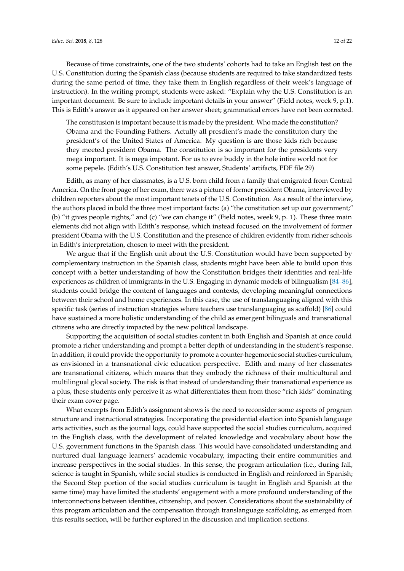Because of time constraints, one of the two students' cohorts had to take an English test on the U.S. Constitution during the Spanish class (because students are required to take standardized tests during the same period of time, they take them in English regardless of their week's language of instruction). In the writing prompt, students were asked: "Explain why the U.S. Constitution is an important document. Be sure to include important details in your answer" (Field notes, week 9, p.1). This is Edith's answer as it appeared on her answer sheet; grammatical errors have not been corrected.

The constitusion is important because it is made by the president. Who made the constitution? Obama and the Founding Fathers. Actully all presdient's made the constituton dury the president's of the United States of America. My question is are those kids rich because they meeted president Obama. The constitution is so important for the presidents very mega important. It is mega impotant. For us to evre buddy in the hole intire world not for some pepele. (Edith's U.S. Constitution test answer, Students' artifacts, PDF file 29)

Edith, as many of her classmates, is a U.S. born child from a family that emigrated from Central America. On the front page of her exam, there was a picture of former president Obama, interviewed by children reporters about the most important tenets of the U.S. Constitution. As a result of the interview, the authors placed in bold the three most important facts: (a) "the constitution set up our government;" (b) "it gives people rights," and (c) "we can change it" (Field notes, week 9, p. 1). These three main elements did not align with Edith's response, which instead focused on the involvement of former president Obama with the U.S. Constitution and the presence of children evidently from richer schools in Edith's interpretation, chosen to meet with the president.

We argue that if the English unit about the U.S. Constitution would have been supported by complementary instruction in the Spanish class, students might have been able to build upon this concept with a better understanding of how the Constitution bridges their identities and real-life experiences as children of immigrants in the U.S. Engaging in dynamic models of bilingualism [\[84](#page-20-17)[–86\]](#page-20-18), students could bridge the content of languages and contexts, developing meaningful connections between their school and home experiences. In this case, the use of translanguaging aligned with this specific task (series of instruction strategies where teachers use translanguaging as scaffold) [\[86\]](#page-20-18) could have sustained a more holistic understanding of the child as emergent bilinguals and transnational citizens who are directly impacted by the new political landscape.

Supporting the acquisition of social studies content in both English and Spanish at once could promote a richer understanding and prompt a better depth of understanding in the student's response. In addition, it could provide the opportunity to promote a counter-hegemonic social studies curriculum, as envisioned in a transnational civic education perspective. Edith and many of her classmates are transnational citizens, which means that they embody the richness of their multicultural and multilingual glocal society. The risk is that instead of understanding their transnational experience as a plus, these students only perceive it as what differentiates them from those "rich kids" dominating their exam cover page.

What excerpts from Edith's assignment shows is the need to reconsider some aspects of program structure and instructional strategies. Incorporating the presidential election into Spanish language arts activities, such as the journal logs, could have supported the social studies curriculum, acquired in the English class, with the development of related knowledge and vocabulary about how the U.S. government functions in the Spanish class. This would have consolidated understanding and nurtured dual language learners' academic vocabulary, impacting their entire communities and increase perspectives in the social studies. In this sense, the program articulation (i.e., during fall, science is taught in Spanish, while social studies is conducted in English and reinforced in Spanish; the Second Step portion of the social studies curriculum is taught in English and Spanish at the same time) may have limited the students' engagement with a more profound understanding of the interconnections between identities, citizenship, and power. Considerations about the sustainability of this program articulation and the compensation through translanguage scaffolding, as emerged from this results section, will be further explored in the discussion and implication sections.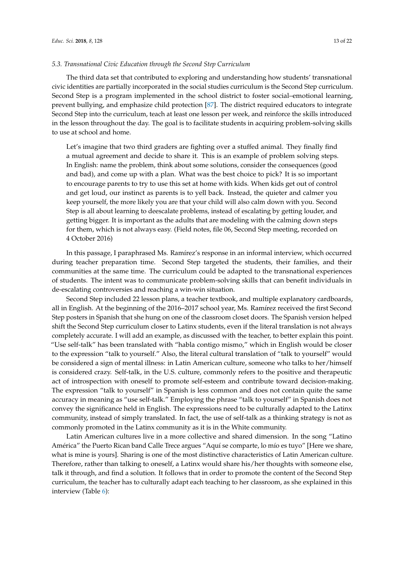#### *5.3. Transnational Civic Education through the Second Step Curriculum*

The third data set that contributed to exploring and understanding how students' transnational civic identities are partially incorporated in the social studies curriculum is the Second Step curriculum. Second Step is a program implemented in the school district to foster social–emotional learning, prevent bullying, and emphasize child protection [\[87\]](#page-20-19). The district required educators to integrate Second Step into the curriculum, teach at least one lesson per week, and reinforce the skills introduced in the lesson throughout the day. The goal is to facilitate students in acquiring problem-solving skills to use at school and home.

Let's imagine that two third graders are fighting over a stuffed animal. They finally find a mutual agreement and decide to share it. This is an example of problem solving steps. In English: name the problem, think about some solutions, consider the consequences (good and bad), and come up with a plan. What was the best choice to pick? It is so important to encourage parents to try to use this set at home with kids. When kids get out of control and get loud, our instinct as parents is to yell back. Instead, the quieter and calmer you keep yourself, the more likely you are that your child will also calm down with you. Second Step is all about learning to deescalate problems, instead of escalating by getting louder, and getting bigger. It is important as the adults that are modeling with the calming down steps for them, which is not always easy. (Field notes, file 06, Second Step meeting, recorded on 4 October 2016)

In this passage, I paraphrased Ms. Ramírez's response in an informal interview, which occurred during teacher preparation time. Second Step targeted the students, their families, and their communities at the same time. The curriculum could be adapted to the transnational experiences of students. The intent was to communicate problem-solving skills that can benefit individuals in de-escalating controversies and reaching a win-win situation.

Second Step included 22 lesson plans, a teacher textbook, and multiple explanatory cardboards, all in English. At the beginning of the 2016–2017 school year, Ms. Ramírez received the first Second Step posters in Spanish that she hung on one of the classroom closet doors. The Spanish version helped shift the Second Step curriculum closer to Latinx students, even if the literal translation is not always completely accurate. I will add an example, as discussed with the teacher, to better explain this point. "Use self-talk" has been translated with "habla contigo mismo," which in English would be closer to the expression "talk to yourself." Also, the literal cultural translation of "talk to yourself" would be considered a sign of mental illness: in Latin American culture, someone who talks to her/himself is considered crazy. Self-talk, in the U.S. culture, commonly refers to the positive and therapeutic act of introspection with oneself to promote self-esteem and contribute toward decision-making. The expression "talk to yourself" in Spanish is less common and does not contain quite the same accuracy in meaning as "use self-talk." Employing the phrase "talk to yourself" in Spanish does not convey the significance held in English. The expressions need to be culturally adapted to the Latinx community, instead of simply translated. In fact, the use of self-talk as a thinking strategy is not as commonly promoted in the Latinx community as it is in the White community.

Latin American cultures live in a more collective and shared dimension. In the song "Latino América" the Puerto Rican band Calle Trece argues "Aquí se comparte, lo mío es tuyo" [Here we share, what is mine is yours]. Sharing is one of the most distinctive characteristics of Latin American culture. Therefore, rather than talking to oneself, a Latinx would share his/her thoughts with someone else, talk it through, and find a solution. It follows that in order to promote the content of the Second Step curriculum, the teacher has to culturally adapt each teaching to her classroom, as she explained in this interview (Table [6\)](#page-13-0):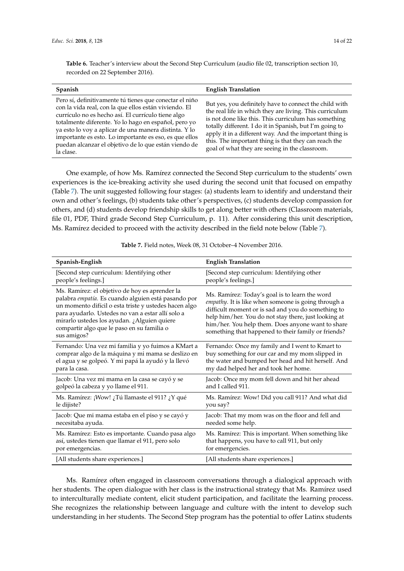<span id="page-13-0"></span>**Table 6.** Teacher's interview about the Second Step Curriculum (audio file 02, transcription section 10, recorded on 22 September 2016).

| <b>Spanish</b>                                                                                                                                                                                                                                                                                                                                                                                                          | <b>English Translation</b>                                                                                                                                                                                                                                                                                                                                                                                |
|-------------------------------------------------------------------------------------------------------------------------------------------------------------------------------------------------------------------------------------------------------------------------------------------------------------------------------------------------------------------------------------------------------------------------|-----------------------------------------------------------------------------------------------------------------------------------------------------------------------------------------------------------------------------------------------------------------------------------------------------------------------------------------------------------------------------------------------------------|
| Pero sí, definitivamente tú tienes que conectar el niño<br>con la vida real, con la que ellos están viviendo. El<br>currículo no es hecho así. El currículo tiene algo<br>totalmente diferente. Yo lo hago en español, pero yo<br>ya esto lo voy a aplicar de una manera distinta. Y lo<br>importante es esto. Lo importante es eso, es que ellos<br>puedan alcanzar el objetivo de lo que están viendo de<br>la clase. | But yes, you definitely have to connect the child with<br>the real life in which they are living. This curriculum<br>is not done like this. This curriculum has something<br>totally different. I do it in Spanish, but I'm going to<br>apply it in a different way. And the important thing is<br>this. The important thing is that they can reach the<br>goal of what they are seeing in the classroom. |

One example, of how Ms. Ramírez connected the Second Step curriculum to the students' own experiences is the ice-breaking activity she used during the second unit that focused on empathy (Table [7\)](#page-13-1). The unit suggested following four stages: (a) students learn to identify and understand their own and other's feelings, (b) students take other's perspectives, (c) students develop compassion for others, and (d) students develop friendship skills to get along better with others (Classroom materials, file 01, PDF, Third grade Second Step Curriculum, p. 11). After considering this unit description, Ms. Ramírez decided to proceed with the activity described in the field note below (Table [7\)](#page-13-1).

<span id="page-13-1"></span>

| Spanish-English                                                                                                                                                                                                                                                                                                                 | <b>English Translation</b>                                                                                                                                                                                                                                                                                                      |
|---------------------------------------------------------------------------------------------------------------------------------------------------------------------------------------------------------------------------------------------------------------------------------------------------------------------------------|---------------------------------------------------------------------------------------------------------------------------------------------------------------------------------------------------------------------------------------------------------------------------------------------------------------------------------|
| [Second step curriculum: Identifying other                                                                                                                                                                                                                                                                                      | [Second step curriculum: Identifying other                                                                                                                                                                                                                                                                                      |
| people's feelings.]                                                                                                                                                                                                                                                                                                             | people's feelings.]                                                                                                                                                                                                                                                                                                             |
| Ms. Ramírez: el objetivo de hoy es aprender la<br>palabra empatía. Es cuando alguien está pasando por<br>un momento difícil o esta triste y ustedes hacen algo<br>para ayudarlo. Ustedes no van a estar allí solo a<br>mirarlo ustedes los ayudan. ¿Alguien quiere<br>compartir algo que le paso en su familia o<br>sus amigos? | Ms. Ramírez: Today's goal is to learn the word<br>empathy. It is like when someone is going through a<br>difficult moment or is sad and you do something to<br>help him/her. You do not stay there, just looking at<br>him/her. You help them. Does anyone want to share<br>something that happened to their family or friends? |
| Fernando: Una vez mi familia y yo fuimos a KMart a                                                                                                                                                                                                                                                                              | Fernando: Once my family and I went to Kmart to                                                                                                                                                                                                                                                                                 |
| comprar algo de la máquina y mi mama se deslizo en                                                                                                                                                                                                                                                                              | buy something for our car and my mom slipped in                                                                                                                                                                                                                                                                                 |
| el agua y se golpeó. Y mi papá la ayudó y la llevó                                                                                                                                                                                                                                                                              | the water and bumped her head and hit herself. And                                                                                                                                                                                                                                                                              |
| para la casa.                                                                                                                                                                                                                                                                                                                   | my dad helped her and took her home.                                                                                                                                                                                                                                                                                            |
| Jacob: Una vez mi mama en la casa se cayó y se                                                                                                                                                                                                                                                                                  | Jacob: Once my mom fell down and hit her ahead                                                                                                                                                                                                                                                                                  |
| golpeó la cabeza y yo llame el 911.                                                                                                                                                                                                                                                                                             | and I called 911.                                                                                                                                                                                                                                                                                                               |
| Ms. Ramírez: ¡Wow! ¿Tú llamaste el 911? ¿Y qué                                                                                                                                                                                                                                                                                  | Ms. Ramírez: Wow! Did you call 911? And what did                                                                                                                                                                                                                                                                                |
| le dijiste?                                                                                                                                                                                                                                                                                                                     | you say?                                                                                                                                                                                                                                                                                                                        |
| Jacob: Que mi mama estaba en el piso y se cayó y                                                                                                                                                                                                                                                                                | Jacob: That my mom was on the floor and fell and                                                                                                                                                                                                                                                                                |
| necesitaba ayuda.                                                                                                                                                                                                                                                                                                               | needed some help.                                                                                                                                                                                                                                                                                                               |
| Ms. Ramírez: Esto es importante. Cuando pasa algo                                                                                                                                                                                                                                                                               | Ms. Ramírez: This is important. When something like                                                                                                                                                                                                                                                                             |
| así, ustedes tienen que llamar el 911, pero solo                                                                                                                                                                                                                                                                                | that happens, you have to call 911, but only                                                                                                                                                                                                                                                                                    |
| por emergencias.                                                                                                                                                                                                                                                                                                                | for emergencies.                                                                                                                                                                                                                                                                                                                |
| [All students share experiences.]                                                                                                                                                                                                                                                                                               | [All students share experiences.]                                                                                                                                                                                                                                                                                               |

**Table 7.** Field notes, Week 08, 31 October–4 November 2016.

Ms. Ramírez often engaged in classroom conversations through a dialogical approach with her students. The open dialogue with her class is the instructional strategy that Ms. Ramírez used to interculturally mediate content, elicit student participation, and facilitate the learning process. She recognizes the relationship between language and culture with the intent to develop such understanding in her students. The Second Step program has the potential to offer Latinx students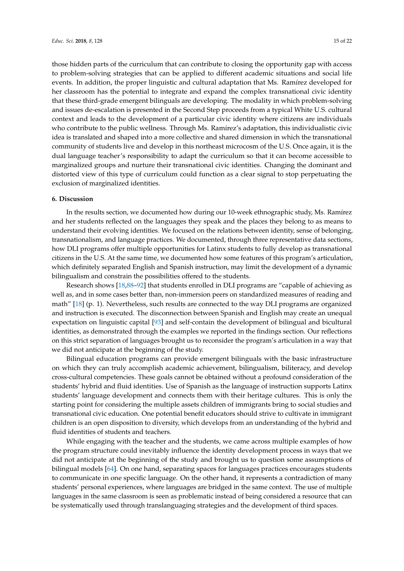those hidden parts of the curriculum that can contribute to closing the opportunity gap with access to problem-solving strategies that can be applied to different academic situations and social life events. In addition, the proper linguistic and cultural adaptation that Ms. Ramírez developed for her classroom has the potential to integrate and expand the complex transnational civic identity that these third-grade emergent bilinguals are developing. The modality in which problem-solving and issues de-escalation is presented in the Second Step proceeds from a typical White U.S. cultural context and leads to the development of a particular civic identity where citizens are individuals who contribute to the public wellness. Through Ms. Ramírez's adaptation, this individualistic civic idea is translated and shaped into a more collective and shared dimension in which the transnational community of students live and develop in this northeast microcosm of the U.S. Once again, it is the dual language teacher's responsibility to adapt the curriculum so that it can become accessible to marginalized groups and nurture their transnational civic identities. Changing the dominant and distorted view of this type of curriculum could function as a clear signal to stop perpetuating the exclusion of marginalized identities.

#### **6. Discussion**

In the results section, we documented how during our 10-week ethnographic study, Ms. Ramírez and her students reflected on the languages they speak and the places they belong to as means to understand their evolving identities. We focused on the relations between identity, sense of belonging, transnationalism, and language practices. We documented, through three representative data sections, how DLI programs offer multiple opportunities for Latinx students to fully develop as transnational citizens in the U.S. At the same time, we documented how some features of this program's articulation, which definitely separated English and Spanish instruction, may limit the development of a dynamic bilingualism and constrain the possibilities offered to the students.

Research shows [\[18](#page-18-1)[,88–](#page-20-20)[92\]](#page-21-0) that students enrolled in DLI programs are "capable of achieving as well as, and in some cases better than, non-immersion peers on standardized measures of reading and math" [\[18\]](#page-18-1) (p. 1). Nevertheless, such results are connected to the way DLI programs are organized and instruction is executed. The disconnection between Spanish and English may create an unequal expectation on linguistic capital [\[93\]](#page-21-1) and self-contain the development of bilingual and bicultural identities, as demonstrated through the examples we reported in the findings section. Our reflections on this strict separation of languages brought us to reconsider the program's articulation in a way that we did not anticipate at the beginning of the study.

Bilingual education programs can provide emergent bilinguals with the basic infrastructure on which they can truly accomplish academic achievement, bilingualism, biliteracy, and develop cross-cultural competencies. These goals cannot be obtained without a profound consideration of the students' hybrid and fluid identities. Use of Spanish as the language of instruction supports Latinx students' language development and connects them with their heritage cultures. This is only the starting point for considering the multiple assets children of immigrants bring to social studies and transnational civic education. One potential benefit educators should strive to cultivate in immigrant children is an open disposition to diversity, which develops from an understanding of the hybrid and fluid identities of students and teachers.

While engaging with the teacher and the students, we came across multiple examples of how the program structure could inevitably influence the identity development process in ways that we did not anticipate at the beginning of the study and brought us to question some assumptions of bilingual models [\[64\]](#page-19-15). On one hand, separating spaces for languages practices encourages students to communicate in one specific language. On the other hand, it represents a contradiction of many students' personal experiences, where languages are bridged in the same context. The use of multiple languages in the same classroom is seen as problematic instead of being considered a resource that can be systematically used through translanguaging strategies and the development of third spaces.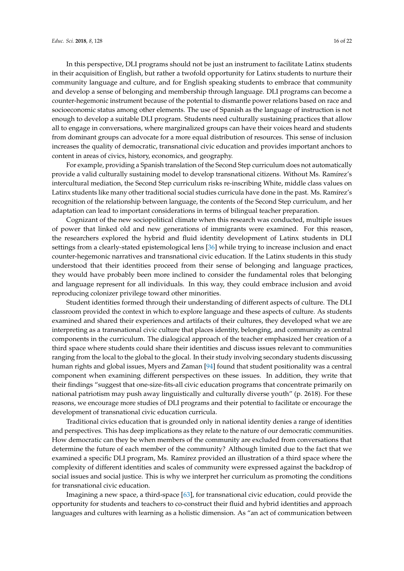In this perspective, DLI programs should not be just an instrument to facilitate Latinx students in their acquisition of English, but rather a twofold opportunity for Latinx students to nurture their community language and culture, and for English speaking students to embrace that community and develop a sense of belonging and membership through language. DLI programs can become a counter-hegemonic instrument because of the potential to dismantle power relations based on race and socioeconomic status among other elements. The use of Spanish as the language of instruction is not enough to develop a suitable DLI program. Students need culturally sustaining practices that allow all to engage in conversations, where marginalized groups can have their voices heard and students from dominant groups can advocate for a more equal distribution of resources. This sense of inclusion increases the quality of democratic, transnational civic education and provides important anchors to content in areas of civics, history, economics, and geography.

For example, providing a Spanish translation of the Second Step curriculum does not automatically provide a valid culturally sustaining model to develop transnational citizens. Without Ms. Ramírez's intercultural mediation, the Second Step curriculum risks re-inscribing White, middle class values on Latinx students like many other traditional social studies curricula have done in the past. Ms. Ramírez's recognition of the relationship between language, the contents of the Second Step curriculum, and her adaptation can lead to important considerations in terms of bilingual teacher preparation.

Cognizant of the new sociopolitical climate when this research was conducted, multiple issues of power that linked old and new generations of immigrants were examined. For this reason, the researchers explored the hybrid and fluid identity development of Latinx students in DLI settings from a clearly-stated epistemological lens [\[36\]](#page-18-10) while trying to increase inclusion and enact counter-hegemonic narratives and transnational civic education. If the Latinx students in this study understood that their identities proceed from their sense of belonging and language practices, they would have probably been more inclined to consider the fundamental roles that belonging and language represent for all individuals. In this way, they could embrace inclusion and avoid reproducing colonizer privilege toward other minorities.

Student identities formed through their understanding of different aspects of culture. The DLI classroom provided the context in which to explore language and these aspects of culture. As students examined and shared their experiences and artifacts of their cultures, they developed what we are interpreting as a transnational civic culture that places identity, belonging, and community as central components in the curriculum. The dialogical approach of the teacher emphasized her creation of a third space where students could share their identities and discuss issues relevant to communities ranging from the local to the global to the glocal. In their study involving secondary students discussing human rights and global issues, Myers and Zaman [\[94\]](#page-21-2) found that student positionality was a central component when examining different perspectives on these issues. In addition, they write that their findings "suggest that one-size-fits-all civic education programs that concentrate primarily on national patriotism may push away linguistically and culturally diverse youth" (p. 2618). For these reasons, we encourage more studies of DLI programs and their potential to facilitate or encourage the development of transnational civic education curricula.

Traditional civics education that is grounded only in national identity denies a range of identities and perspectives. This has deep implications as they relate to the nature of our democratic communities. How democratic can they be when members of the community are excluded from conversations that determine the future of each member of the community? Although limited due to the fact that we examined a specific DLI program, Ms. Ramírez provided an illustration of a third space where the complexity of different identities and scales of community were expressed against the backdrop of social issues and social justice. This is why we interpret her curriculum as promoting the conditions for transnational civic education.

Imagining a new space, a third-space [\[63\]](#page-19-14), for transnational civic education, could provide the opportunity for students and teachers to co-construct their fluid and hybrid identities and approach languages and cultures with learning as a holistic dimension. As "an act of communication between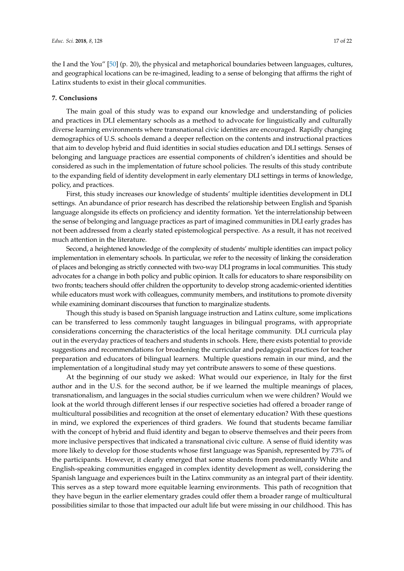the I and the You" [\[50\]](#page-19-18) (p. 20), the physical and metaphorical boundaries between languages, cultures, and geographical locations can be re-imagined, leading to a sense of belonging that affirms the right of Latinx students to exist in their glocal communities.

#### **7. Conclusions**

The main goal of this study was to expand our knowledge and understanding of policies and practices in DLI elementary schools as a method to advocate for linguistically and culturally diverse learning environments where transnational civic identities are encouraged. Rapidly changing demographics of U.S. schools demand a deeper reflection on the contents and instructional practices that aim to develop hybrid and fluid identities in social studies education and DLI settings. Senses of belonging and language practices are essential components of children's identities and should be considered as such in the implementation of future school policies. The results of this study contribute to the expanding field of identity development in early elementary DLI settings in terms of knowledge, policy, and practices.

First, this study increases our knowledge of students' multiple identities development in DLI settings. An abundance of prior research has described the relationship between English and Spanish language alongside its effects on proficiency and identity formation. Yet the interrelationship between the sense of belonging and language practices as part of imagined communities in DLI early grades has not been addressed from a clearly stated epistemological perspective. As a result, it has not received much attention in the literature.

Second, a heightened knowledge of the complexity of students' multiple identities can impact policy implementation in elementary schools. In particular, we refer to the necessity of linking the consideration of places and belonging as strictly connected with two-way DLI programs in local communities. This study advocates for a change in both policy and public opinion. It calls for educators to share responsibility on two fronts; teachers should offer children the opportunity to develop strong academic-oriented identities while educators must work with colleagues, community members, and institutions to promote diversity while examining dominant discourses that function to marginalize students.

Though this study is based on Spanish language instruction and Latinx culture, some implications can be transferred to less commonly taught languages in bilingual programs, with appropriate considerations concerning the characteristics of the local heritage community. DLI curricula play out in the everyday practices of teachers and students in schools. Here, there exists potential to provide suggestions and recommendations for broadening the curricular and pedagogical practices for teacher preparation and educators of bilingual learners. Multiple questions remain in our mind, and the implementation of a longitudinal study may yet contribute answers to some of these questions.

At the beginning of our study we asked: What would our experience, in Italy for the first author and in the U.S. for the second author, be if we learned the multiple meanings of places, transnationalism, and languages in the social studies curriculum when we were children? Would we look at the world through different lenses if our respective societies had offered a broader range of multicultural possibilities and recognition at the onset of elementary education? With these questions in mind, we explored the experiences of third graders. We found that students became familiar with the concept of hybrid and fluid identity and began to observe themselves and their peers from more inclusive perspectives that indicated a transnational civic culture. A sense of fluid identity was more likely to develop for those students whose first language was Spanish, represented by 73% of the participants. However, it clearly emerged that some students from predominantly White and English-speaking communities engaged in complex identity development as well, considering the Spanish language and experiences built in the Latinx community as an integral part of their identity. This serves as a step toward more equitable learning environments. This path of recognition that they have begun in the earlier elementary grades could offer them a broader range of multicultural possibilities similar to those that impacted our adult life but were missing in our childhood. This has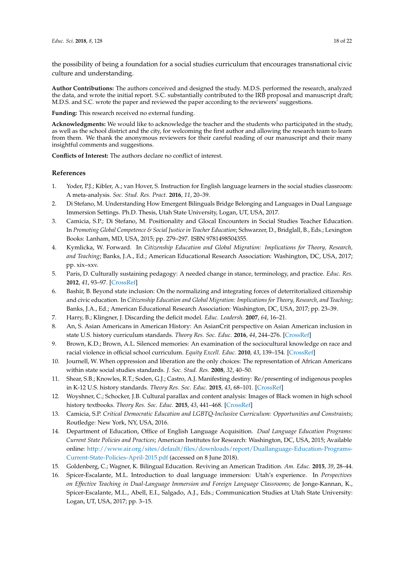the possibility of being a foundation for a social studies curriculum that encourages transnational civic culture and understanding.

**Author Contributions:** The authors conceived and designed the study. M.D.S. performed the research, analyzed the data, and wrote the initial report. S.C. substantially contributed to the IRB proposal and manuscript draft; M.D.S. and S.C. wrote the paper and reviewed the paper according to the reviewers' suggestions.

**Funding:** This research received no external funding.

**Acknowledgments:** We would like to acknowledge the teacher and the students who participated in the study, as well as the school district and the city, for welcoming the first author and allowing the research team to learn from them. We thank the anonymous reviewers for their careful reading of our manuscript and their many insightful comments and suggestions.

**Conflicts of Interest:** The authors declare no conflict of interest.

## **References**

- <span id="page-17-0"></span>1. Yoder, P.J.; Kibler, A.; van Hover, S. Instruction for English language learners in the social studies classroom: A meta-analysis. *Soc. Stud. Res. Pract.* **2016**, *11*, 20–39.
- <span id="page-17-1"></span>2. Di Stefano, M. Understanding How Emergent Bilinguals Bridge Belonging and Languages in Dual Language Immersion Settings. Ph.D. Thesis, Utah State University, Logan, UT, USA, 2017.
- <span id="page-17-2"></span>3. Camicia, S.P.; Di Stefano, M. Positionality and Glocal Encounters in Social Studies Teacher Education. In *Promoting Global Competence & Social Justice in Teacher Education*; Schwarzer, D., Bridglall, B., Eds.; Lexington Books: Lanham, MD, USA, 2015; pp. 279–297. ISBN 9781498504355.
- <span id="page-17-3"></span>4. Kymlicka, W. Forward. In *Citizenship Education and Global Migration: Implications for Theory, Research, and Teaching*; Banks, J.A., Ed.; American Educational Research Association: Washington, DC, USA, 2017; pp. xix–xxv.
- <span id="page-17-4"></span>5. Paris, D. Culturally sustaining pedagogy: A needed change in stance, terminology, and practice. *Educ. Res.* **2012**, *41*, 93–97. [\[CrossRef\]](http://dx.doi.org/10.3102/0013189X12441244)
- <span id="page-17-5"></span>6. Bashir, B. Beyond state inclusion: On the normalizing and integrating forces of deterritorialized citizenship and civic education. In *Citizenship Education and Global Migration: Implications for Theory, Research, and Teaching*; Banks, J.A., Ed.; American Educational Research Association: Washington, DC, USA, 2017; pp. 23–39.
- <span id="page-17-6"></span>7. Harry, B.; Klingner, J. Discarding the deficit model. *Educ. Leadersh.* **2007**, *64*, 16–21.
- <span id="page-17-7"></span>8. An, S. Asian Americans in American History: An AsianCrit perspective on Asian American inclusion in state U.S. history curriculum standards. *Theory Res. Soc. Educ.* **2016**, *44*, 244–276. [\[CrossRef\]](http://dx.doi.org/10.1080/00933104.2016.1170646)
- 9. Brown, K.D.; Brown, A.L. Silenced memories: An examination of the sociocultural knowledge on race and racial violence in official school curriculum. *Equity Excell. Educ.* **2010**, *43*, 139–154. [\[CrossRef\]](http://dx.doi.org/10.1080/10665681003719590)
- 10. Journell, W. When oppression and liberation are the only choices: The representation of African Americans within state social studies standards. *J. Soc. Stud. Res.* **2008**, *32*, 40–50.
- 11. Shear, S.B.; Knowles, R.T.; Soden, G.J.; Castro, A.J. Manifesting destiny: Re/presenting of indigenous peoples in K-12 U.S. history standards. *Theory Res. Soc. Educ.* **2015**, *43*, 68–101. [\[CrossRef\]](http://dx.doi.org/10.1080/00933104.2014.999849)
- 12. Woyshner, C.; Schocker, J.B. Cultural parallax and content analysis: Images of Black women in high school history textbooks. *Theory Res. Soc. Educ.* **2015**, *43*, 441–468. [\[CrossRef\]](http://dx.doi.org/10.1080/00933104.2015.1099487)
- <span id="page-17-8"></span>13. Camicia, S.P. *Critical Democratic Education and LGBTQ-Inclusive Curriculum: Opportunities and Constraints*; Routledge: New York, NY, USA, 2016.
- <span id="page-17-9"></span>14. Department of Education, Office of English Language Acquisition. *Dual Language Education Programs: Current State Policies and Practices*; American Institutes for Research: Washington, DC, USA, 2015; Available online: [http://www.air.org/sites/default/files/downloads/report/Duallanguage-Education-Programs-](http://www.air.org/sites/default/files/downloads/report/Dual language-Education-Programs-Current-State-Policies-April-2015.pdf)[Current-State-Policies-April-2015.pdf](http://www.air.org/sites/default/files/downloads/report/Dual language-Education-Programs-Current-State-Policies-April-2015.pdf) (accessed on 8 June 2018).
- 15. Goldenberg, C.; Wagner, K. Bilingual Education. Reviving an American Tradition. *Am. Educ.* **2015**, *39*, 28–44.
- <span id="page-17-10"></span>16. Spicer-Escalante, M.L. Introduction to dual language immersion: Utah's experience. In *Perspectives on Effective Teaching in Dual-Language Immersion and Foreign Language Classrooms*; de Jonge-Kannan, K., Spicer-Escalante, M.L., Abell, E.I., Salgado, A.J., Eds.; Communication Studies at Utah State University: Logan, UT, USA, 2017; pp. 3–15.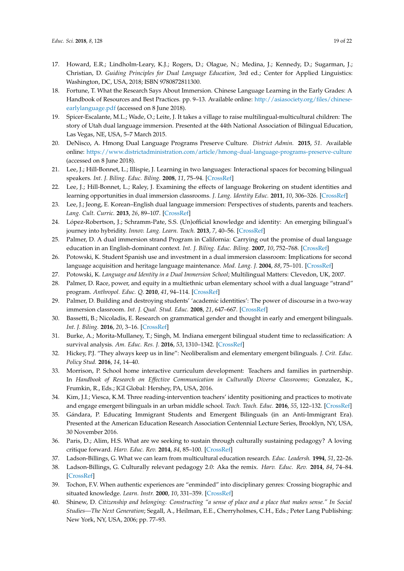- <span id="page-18-0"></span>17. Howard, E.R.; Lindholm-Leary, K.J.; Rogers, D.; Olague, N.; Medina, J.; Kennedy, D.; Sugarman, J.; Christian, D. *Guiding Principles for Dual Language Education*, 3rd ed.; Center for Applied Linguistics: Washington, DC, USA, 2018; ISBN 9780872811300.
- <span id="page-18-1"></span>18. Fortune, T. What the Research Says About Immersion. Chinese Language Learning in the Early Grades: A Handbook of Resources and Best Practices. pp. 9–13. Available online: [http://asiasociety.org/files/chinese](http://asiasociety.org/files/chinese-earlylanguage.pdf)[earlylanguage.pdf](http://asiasociety.org/files/chinese-earlylanguage.pdf) (accessed on 8 June 2018).
- <span id="page-18-2"></span>19. Spicer-Escalante, M.L.; Wade, O.; Leite, J. It takes a village to raise multilingual-multicultural children: The story of Utah dual language immersion. Presented at the 44th National Association of Bilingual Education, Las Vegas, NE, USA, 5–7 March 2015.
- <span id="page-18-3"></span>20. DeNisco, A. Hmong Dual Language Programs Preserve Culture. *District Admin.* **2015**, *51*. Available online: <https://www.districtadministration.com/article/hmong-dual-language-programs-preserve-culture> (accessed on 8 June 2018).
- 21. Lee, J.; Hill-Bonnet, L.; Illispie, J. Learning in two languages: Interactional spaces for becoming bilingual speakers. *Int. J. Biling. Educ. Biling.* **2008**, *11*, 75–94. [\[CrossRef\]](http://dx.doi.org/10.2167/beb412.0)
- 22. Lee, J.; Hill-Bonnet, L.; Raley, J. Examining the effects of language Brokering on student identities and learning opportunities in dual immersion classrooms. *J. Lang. Identity Educ.* **2011**, *10*, 306–326. [\[CrossRef\]](http://dx.doi.org/10.1080/15348458.2011.614544)
- 23. Lee, J.; Jeong, E. Korean–English dual language immersion: Perspectives of students, parents and teachers. *Lang. Cult. Curric.* **2013**, *26*, 89–107. [\[CrossRef\]](http://dx.doi.org/10.1080/07908318.2013.765890)
- 24. López-Robertson, J.; Schramm-Pate, S.S. (Un)official knowledge and identity: An emerging bilingual's journey into hybridity. *Innov. Lang. Learn. Teach.* **2013**, *7*, 40–56. [\[CrossRef\]](http://dx.doi.org/10.1080/17501229.2012.671828)
- 25. Palmer, D. A dual immersion strand Program in California: Carrying out the promise of dual language education in an English-dominant context. *Int. J. Biling. Educ. Biling.* **2007**, *10*, 752–768. [\[CrossRef\]](http://dx.doi.org/10.2167/beb397.0)
- 26. Potowski, K. Student Spanish use and investment in a dual immersion classroom: Implications for second language acquisition and heritage language maintenance. *Mod. Lang. J.* **2004**, *88*, 75–101. [\[CrossRef\]](http://dx.doi.org/10.1111/j.0026-7902.2004.00219.x)
- <span id="page-18-4"></span>27. Potowski, K. *Language and Identity in a Dual Immersion School*; Multilingual Matters: Clevedon, UK, 2007.
- <span id="page-18-5"></span>28. Palmer, D. Race, power, and equity in a multiethnic urban elementary school with a dual language "strand" program. *Anthropol. Educ. Q.* **2010**, *41*, 94–114. [\[CrossRef\]](http://dx.doi.org/10.1111/j.1548-1492.2010.01069.x)
- <span id="page-18-6"></span>29. Palmer, D. Building and destroying students' 'academic identities': The power of discourse in a two-way immersion classroom. *Int. J. Qual. Stud. Educ.* **2008**, *21*, 647–667. [\[CrossRef\]](http://dx.doi.org/10.1080/09518390701470537)
- <span id="page-18-7"></span>30. Bassetti, B.; Nicoladis, E. Research on grammatical gender and thought in early and emergent bilinguals. *Int. J. Biling.* **2016**, *20*, 3–16. [\[CrossRef\]](http://dx.doi.org/10.1177/1367006915576824)
- 31. Burke, A.; Morita-Mullaney, T.; Singh, M. Indiana emergent bilingual student time to reclassification: A survival analysis. *Am. Educ. Res. J.* **2016**, *53*, 1310–1342. [\[CrossRef\]](http://dx.doi.org/10.3102/0002831216667481)
- 32. Hickey, P.J. "They always keep us in line": Neoliberalism and elementary emergent bilinguals. *J. Crit. Educ. Policy Stud.* **2016**, *14*, 14–40.
- 33. Morrison, P. School home interactive curriculum development: Teachers and families in partnership. In *Handbook of Research on Effective Communication in Culturally Diverse Classrooms*; Gonzalez, K., Frumkin, R., Eds.; IGI Global: Hershey, PA, USA, 2016.
- <span id="page-18-8"></span>34. Kim, J.I.; Viesca, K.M. Three reading-intervention teachers' identity positioning and practices to motivate and engage emergent bilinguals in an urban middle school. *Teach. Teach. Educ.* **2016**, *55*, 122–132. [\[CrossRef\]](http://dx.doi.org/10.1016/j.tate.2016.01.003)
- <span id="page-18-9"></span>35. Gándara, P. Educating Immigrant Students and Emergent Bilinguals (in an Anti-Immigrant Era). Presented at the American Education Research Association Centennial Lecture Series, Brooklyn, NY, USA, 30 November 2016.
- <span id="page-18-10"></span>36. Paris, D.; Alim, H.S. What are we seeking to sustain through culturally sustaining pedagogy? A loving critique forward. *Harv. Educ. Rev.* **2014**, *84*, 85–100. [\[CrossRef\]](http://dx.doi.org/10.17763/haer.84.1.982l873k2ht16m77)
- <span id="page-18-11"></span>37. Ladson-Billings, G. What we can learn from multicultural education research. *Educ. Leadersh.* **1994**, *51*, 22–26.
- <span id="page-18-12"></span>38. Ladson-Billings, G. Culturally relevant pedagogy 2.0: Aka the remix. *Harv. Educ. Rev.* **2014**, *84*, 74–84. [\[CrossRef\]](http://dx.doi.org/10.17763/haer.84.1.p2rj131485484751)
- <span id="page-18-13"></span>39. Tochon, F.V. When authentic experiences are "enminded" into disciplinary genres: Crossing biographic and situated knowledge. *Learn. Instr.* **2000**, *10*, 331–359. [\[CrossRef\]](http://dx.doi.org/10.1016/S0959-4752(00)00003-7)
- <span id="page-18-14"></span>40. Shinew, D. *Citizenship and belonging: Constructing "a sense of place and a place that makes sense." In Social Studies—The Next Generation*; Segall, A., Heilman, E.E., Cherryholmes, C.H., Eds.; Peter Lang Publishing: New York, NY, USA, 2006; pp. 77–93.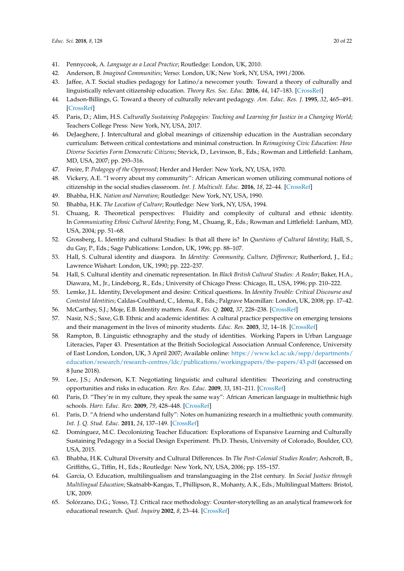- <span id="page-19-0"></span>41. Pennycook, A. *Language as a Local Practice*; Routledge: London, UK, 2010.
- <span id="page-19-1"></span>42. Anderson, B. *Imagined Communities*; Verso: London, UK; New York, NY, USA, 1991/2006.
- <span id="page-19-2"></span>43. Jaffee, A.T. Social studies pedagogy for Latino/a newcomer youth: Toward a theory of culturally and linguistically relevant citizenship education. *Theory Res. Soc. Educ.* **2016**, *44*, 147–183. [\[CrossRef\]](http://dx.doi.org/10.1080/00933104.2016.1171184)
- <span id="page-19-3"></span>44. Ladson-Billings, G. Toward a theory of culturally relevant pedagogy. *Am. Educ. Res. J.* **1995**, *32*, 465–491. [\[CrossRef\]](http://dx.doi.org/10.3102/00028312032003465)
- <span id="page-19-4"></span>45. Paris, D.; Alim, H.S. *Culturally Sustaining Pedagogies: Teaching and Learning for Justice in a Changing World*; Teachers College Press: New York, NY, USA, 2017.
- <span id="page-19-5"></span>46. DeJaeghere, J. Intercultural and global meanings of citizenship education in the Australian secondary curriculum: Between critical contestations and minimal construction. In *Reimagining Civic Education: How Diverse Societies Form Democratic Citizens*; Stevick, D., Levinson, B., Eds.; Rowman and Littlefield: Lanham, MD, USA, 2007; pp. 293–316.
- <span id="page-19-6"></span>47. Freire, P. *Pedagogy of the Oppressed*; Herder and Herder: New York, NY, USA, 1970.
- <span id="page-19-7"></span>48. Vickery, A.E. "I worry about my community": African American women utilizing communal notions of citizenship in the social studies classroom. *Int. J. Multicult. Educ.* **2016**, *18*, 22–44. [\[CrossRef\]](http://dx.doi.org/10.18251/ijme.v18i1.1061)
- <span id="page-19-8"></span>49. Bhabha, H.K. *Nation and Narration*; Routledge: New York, NY, USA, 1990.
- <span id="page-19-18"></span>50. Bhabha, H.K. *The Location of Culture*; Routledge: New York, NY, USA, 1994.
- 51. Chuang, R. Theoretical perspectives: Fluidity and complexity of cultural and ethnic identity. In *Communicating Ethnic Cultural Identity*; Fong, M., Chuang, R., Eds.; Rowman and Littlefield: Lanham, MD, USA, 2004; pp. 51–68.
- 52. Grossberg, L. Identity and cultural Studies: Is that all there is? In *Questions of Cultural Identity*; Hall, S., du Gay, P., Eds.; Sage Publications: London, UK, 1996; pp. 88–107.
- <span id="page-19-17"></span>53. Hall, S. Cultural identity and diaspora. In *Identity: Community, Culture, Difference*; Rutherford, J., Ed.; Lawrence Wishart: London, UK, 1990; pp. 222–237.
- 54. Hall, S. Cultural identity and cinematic representation. In *Black British Cultural Studies: A Reader*; Baker, H.A., Diawara, M., Jr., Lindeborg, R., Eds.; University of Chicago Press: Chicago, IL, USA, 1996; pp. 210–222.
- 55. Lemke, J.L. Identity, Development and desire: Critical questions. In *Identity Trouble: Critical Discourse and Contested Identities*; Caldas-Coulthard, C., Idema, R., Eds.; Palgrave Macmillan: London, UK, 2008; pp. 17–42.
- 56. McCarthey, S.J.; Moje, E.B. Identity matters. *Read. Res. Q.* **2002**, *37*, 228–238. [\[CrossRef\]](http://dx.doi.org/10.1598/RRQ.37.2.6)
- 57. Nasir, N.S.; Saxe, G.B. Ethnic and academic identities: A cultural practice perspective on emerging tensions and their management in the lives of minority students. *Educ. Res.* **2003**, *32*, 14–18. [\[CrossRef\]](http://dx.doi.org/10.3102/0013189X032005014)
- <span id="page-19-9"></span>58. Rampton, B. Linguistic ethnography and the study of identities. Working Papers in Urban Language Literacies, Paper 43. Presentation at the British Sociological Association Annual Conference, University of East London, London, UK, 3 April 2007; Available online: [https://www.kcl.ac.uk/sspp/departments/](https://www.kcl.ac.uk/sspp/departments/education/research/research-centres/ldc/publications/workingpapers/the-papers/43.pdf) [education/research/research-centres/ldc/publications/workingpapers/the-papers/43.pdf](https://www.kcl.ac.uk/sspp/departments/education/research/research-centres/ldc/publications/workingpapers/the-papers/43.pdf) (accessed on 8 June 2018).
- <span id="page-19-10"></span>59. Lee, J.S.; Anderson, K.T. Negotiating linguistic and cultural identities: Theorizing and constructing opportunities and risks in education. *Rev. Res. Educ.* **2009**, *33*, 181–211. [\[CrossRef\]](http://dx.doi.org/10.3102/0091732X08327090)
- <span id="page-19-11"></span>60. Paris, D. "They're in my culture, they speak the same way": African American language in multiethnic high schools. *Harv. Educ. Rev.* **2009**, *79*, 428–448. [\[CrossRef\]](http://dx.doi.org/10.17763/haer.79.3.64j4678647mj7g35)
- <span id="page-19-12"></span>61. Paris, D. "A friend who understand fully": Notes on humanizing research in a multiethnic youth community. *Int. J. Q. Stud. Educ.* **2011**, *24*, 137–149. [\[CrossRef\]](http://dx.doi.org/10.1080/09518398.2010.495091)
- <span id="page-19-13"></span>62. Domínguez, M.C. Decolonizing Teacher Education: Explorations of Expansive Learning and Culturally Sustaining Pedagogy in a Social Design Experiment. Ph.D. Thesis, University of Colorado, Boulder, CO, USA, 2015.
- <span id="page-19-14"></span>63. Bhabha, H.K. Cultural Diversity and Cultural Differences. In *The Post-Colonial Studies Reader*; Ashcroft, B., Griffiths, G., Tiffin, H., Eds.; Routledge: New York, NY, USA, 2006; pp. 155–157.
- <span id="page-19-15"></span>64. García, O. Education, multilingualism and translanguaging in the 21st century. In *Social Justice through Multilingual Education*; Skatnabb-Kangas, T., Phillipson, R., Mohanty, A.K., Eds.; Multilingual Matters: Bristol, UK, 2009.
- <span id="page-19-16"></span>65. Solórzano, D.G.; Yosso, T.J. Critical race methodology: Counter-storytelling as an analytical framework for educational research. *Qual. Inquiry* **2002**, *8*, 23–44. [\[CrossRef\]](http://dx.doi.org/10.1177/107780040200800103)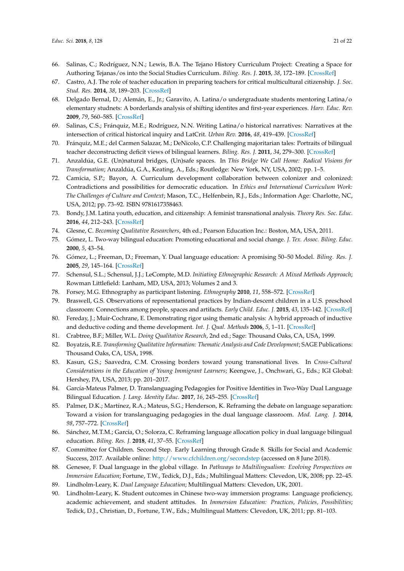- <span id="page-20-0"></span>66. Salinas, C.; Rodríguez, N.N.; Lewis, B.A. The Tejano History Curriculum Project: Creating a Space for Authoring Tejanas/os into the Social Studies Curriculum. *Biling. Res. J.* **2015**, *38*, 172–189. [\[CrossRef\]](http://dx.doi.org/10.1080/15235882.2015.1066275)
- <span id="page-20-1"></span>67. Castro, A.J. The role of teacher education in preparing teachers for critical multicultural citizenship. *J. Soc. Stud. Res.* **2014**, *38*, 189–203. [\[CrossRef\]](http://dx.doi.org/10.1016/j.jssr.2014.02.006)
- 68. Delgado Bernal, D.; Alemán, E., Jr.; Garavito, A. Latina/o undergraduate students mentoring Latina/o elementary studnets: A borderlands analysis of shifting identites and first-year experiences. *Harv. Educ. Rev.* **2009**, *79*, 560–585. [\[CrossRef\]](http://dx.doi.org/10.17763/haer.79.4.01107jp4uv648517)
- <span id="page-20-2"></span>69. Salinas, C.S.; Fránquiz, M.E.; Rodríguez, N.N. Writing Latina/o historical narratives: Narratives at the intersection of critical historical inquiry and LatCrit. *Urban Rev.* **2016**, *48*, 419–439. [\[CrossRef\]](http://dx.doi.org/10.1007/s11256-016-0361-1)
- <span id="page-20-3"></span>70. Fránquiz, M.E.; del Carmen Salazar, M.; DeNicolo, C.P. Challenging majoritarian tales: Portraits of bilingual teacher deconstructing deficit views of bilingual learners. *Biling. Res. J.* **2011**, *34*, 279–300. [\[CrossRef\]](http://dx.doi.org/10.1080/15235882.2011.625884)
- <span id="page-20-4"></span>71. Anzaldúa, G.E. (Un)natural bridges, (Un)safe spaces. In *This Bridge We Call Home: Radical Visions for Transformation*; Anzaldúa, G.A., Keating, A., Eds.; Routledge: New York, NY, USA, 2002; pp. 1–5.
- <span id="page-20-5"></span>72. Camicia, S.P.; Bayon, A. Curriculum development collaboration between colonizer and colonized: Contradictions and possibilities for democratic education. In *Ethics and International Curriculum Work: The Challenges of Culture and Context*; Mason, T.C., Helfenbein, R.J., Eds.; Information Age: Charlotte, NC, USA, 2012; pp. 73–92. ISBN 9781617358463.
- <span id="page-20-6"></span>73. Bondy, J.M. Latina youth, education, and citizenship: A feminist transnational analysis. *Theory Res. Soc. Educ.* **2016**, *44*, 212–243. [\[CrossRef\]](http://dx.doi.org/10.1080/00933104.2016.1170644)
- <span id="page-20-8"></span><span id="page-20-7"></span>74. Glesne, C. *Becoming Qualitative Researchers*, 4th ed.; Pearson Education Inc.: Boston, MA, USA, 2011.
- 75. Gómez, L. Two-way bilingual education: Promoting educational and social change. *J. Tex. Assoc. Biling. Educ.* **2000**, *5*, 43–54.
- <span id="page-20-9"></span>76. Gómez, L.; Freeman, D.; Freeman, Y. Dual language education: A promising 50–50 Model. *Biling. Res. J.* **2005**, *29*, 145–164. [\[CrossRef\]](http://dx.doi.org/10.1080/15235882.2005.10162828)
- <span id="page-20-10"></span>77. Schensul, S.L.; Schensul, J.J.; LeCompte, M.D. *Initiating Ethnographic Research: A Mixed Methods Approach*; Rowman Littlefield: Lanham, MD, USA, 2013; Volumes 2 and 3.
- <span id="page-20-11"></span>78. Forsey, M.G. Ethnography as participant listening. *Ethnography* **2010**, *11*, 558–572. [\[CrossRef\]](http://dx.doi.org/10.1177/1466138110372587)
- <span id="page-20-12"></span>79. Braswell, G.S. Observations of representational practices by Indian-descent children in a U.S. preschool classroom: Connections among people, spaces and artifacts. *Early Child. Educ. J.* **2015**, *43*, 135–142. [\[CrossRef\]](http://dx.doi.org/10.1007/s10643-014-0637-6)
- <span id="page-20-13"></span>80. Fereday, J.; Muir-Cochrane, E. Demonstrating rigor using thematic analysis: A hybrid approach of inductive and deductive coding and theme development. *Int. J. Qual. Methods* **2006**, *5*, 1–11. [\[CrossRef\]](http://dx.doi.org/10.1177/160940690600500107)
- <span id="page-20-14"></span>81. Crabtree, B.F.; Miller, W.L. *Doing Qualitative Research*, 2nd ed.; Sage: Thousand Oaks, CA, USA, 1999.
- <span id="page-20-15"></span>82. Boyatzis, R.E. *Transforming Qualitative Information: Thematic Analysis and Code Development;* SAGE Publications: Thousand Oaks, CA, USA, 1998.
- <span id="page-20-16"></span>83. Kasun, G.S.; Saavedra, C.M. Crossing borders toward young transnational lives. In *Cross-Cultural Considerations in the Education of Young Immigrant Learners*; Keengwe, J., Onchwari, G., Eds.; IGI Global: Hershey, PA, USA, 2013; pp. 201–2017.
- <span id="page-20-17"></span>84. García-Mateus Palmer, D. Translanguaging Pedagogies for Positive Identities in Two-Way Dual Language Bilingual Education. *J. Lang. Identity Educ.* **2017**, *16*, 245–255. [\[CrossRef\]](http://dx.doi.org/10.1080/15348458.2017.1329016)
- 85. Palmer, D.K.; Martínez, R.A.; Mateus, S.G.; Henderson, K. Reframing the debate on language separation: Toward a vision for translanguaging pedagogies in the dual language classroom. *Mod. Lang. J.* **2014**, *98*, 757–772. [\[CrossRef\]](http://dx.doi.org/10.1111/modl.12121)
- <span id="page-20-18"></span>86. Sánchez, M.T.M.; García, O.; Solorza, C. Reframing language allocation policy in dual language bilingual education. *Biling. Res. J.* **2018**, *41*, 37–55. [\[CrossRef\]](http://dx.doi.org/10.1080/15235882.2017.1405098)
- <span id="page-20-19"></span>87. Committee for Children. Second Step. Early Learning through Grade 8. Skills for Social and Academic Success, 2017. Available online: <http://www.cfchildren.org/secondstep> (accessed on 8 June 2018).
- <span id="page-20-20"></span>88. Genesee, F. Dual language in the global village. In *Pathways to Multilingualism: Evolving Perspectives on Immersion Education*; Fortune, T.W., Tedick, D.J., Eds.; Multilingual Matters: Clevedon, UK, 2008; pp. 22–45.
- 89. Lindholm-Leary, K. *Dual Language Education*; Multilingual Matters: Clevedon, UK, 2001.
- 90. Lindholm-Leary, K. Student outcomes in Chinese two-way immersion programs: Language proficiency, academic achievement, and student attitudes. In *Immersion Education: Practices, Policies, Possibilities*; Tedick, D.J., Christian, D., Fortune, T.W., Eds.; Multilingual Matters: Clevedon, UK, 2011; pp. 81–103.